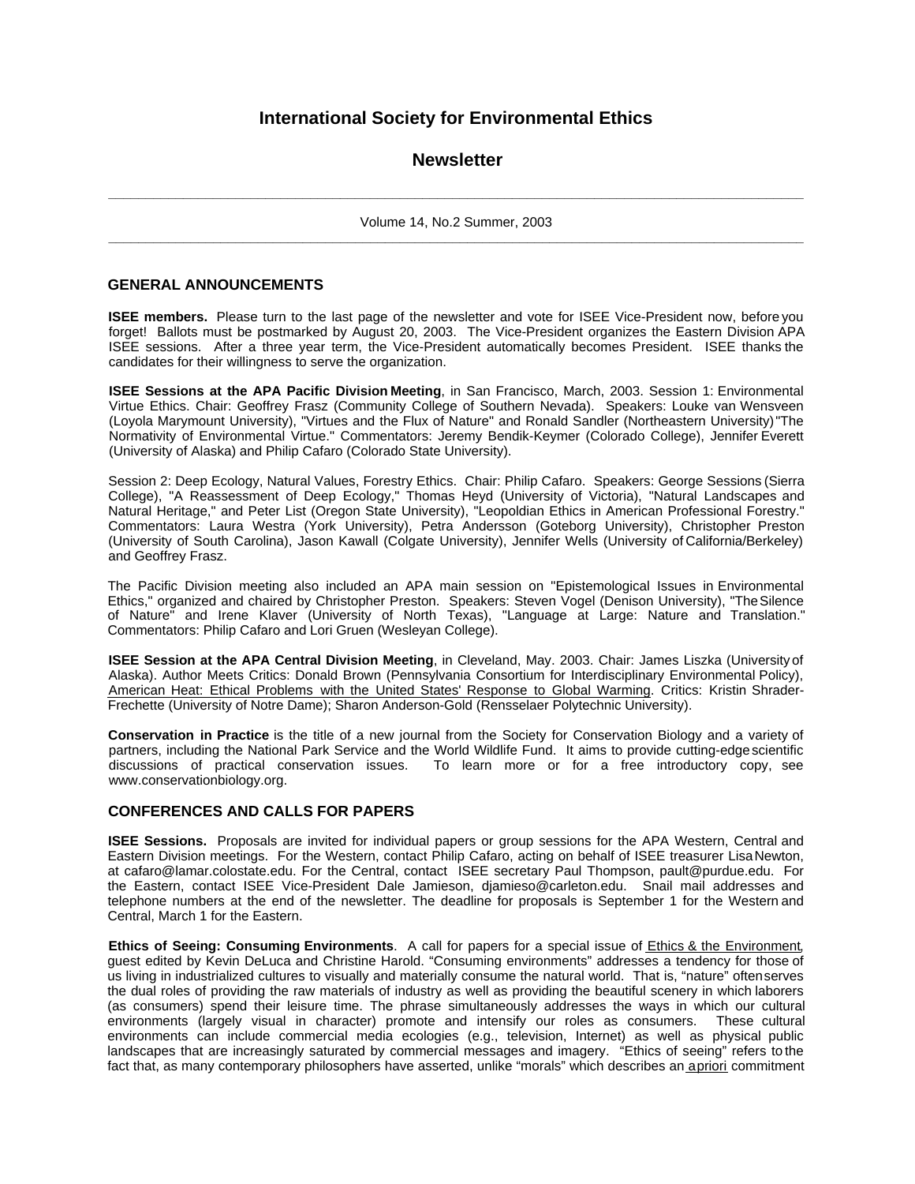# **International Society for Environmental Ethics**

## **Newsletter**

**\_\_\_\_\_\_\_\_\_\_\_\_\_\_\_\_\_\_\_\_\_\_\_\_\_\_\_\_\_\_\_\_\_\_\_\_\_\_\_\_\_\_\_\_\_\_\_\_\_\_\_\_\_\_\_\_\_\_\_\_\_\_\_\_\_\_\_\_\_\_\_\_\_\_\_\_\_\_\_\_\_\_\_\_\_\_\_\_\_\_\_\_\_** Volume 14, No.2 Summer, 2003 **\_\_\_\_\_\_\_\_\_\_\_\_\_\_\_\_\_\_\_\_\_\_\_\_\_\_\_\_\_\_\_\_\_\_\_\_\_\_\_\_\_\_\_\_\_\_\_\_\_\_\_\_\_\_\_\_\_\_\_\_\_\_\_\_\_\_\_\_\_\_\_\_\_\_\_\_\_\_\_\_\_\_\_\_\_\_\_\_\_\_\_\_\_**

#### **GENERAL ANNOUNCEMENTS**

**ISEE members.** Please turn to the last page of the newsletter and vote for ISEE Vice-President now, before you forget! Ballots must be postmarked by August 20, 2003. The Vice-President organizes the Eastern Division APA ISEE sessions. After a three year term, the Vice-President automatically becomes President. ISEE thanks the candidates for their willingness to serve the organization.

**ISEE Sessions at the APA Pacific Division Meeting**, in San Francisco, March, 2003. Session 1: Environmental Virtue Ethics. Chair: Geoffrey Frasz (Community College of Southern Nevada). Speakers: Louke van Wensveen (Loyola Marymount University), "Virtues and the Flux of Nature" and Ronald Sandler (Northeastern University) "The Normativity of Environmental Virtue." Commentators: Jeremy Bendik-Keymer (Colorado College), Jennifer Everett (University of Alaska) and Philip Cafaro (Colorado State University).

Session 2: Deep Ecology, Natural Values, Forestry Ethics. Chair: Philip Cafaro. Speakers: George Sessions (Sierra College), "A Reassessment of Deep Ecology," Thomas Heyd (University of Victoria), "Natural Landscapes and Natural Heritage," and Peter List (Oregon State University), "Leopoldian Ethics in American Professional Forestry." Commentators: Laura Westra (York University), Petra Andersson (Goteborg University), Christopher Preston (University of South Carolina), Jason Kawall (Colgate University), Jennifer Wells (University of California/Berkeley) and Geoffrey Frasz.

The Pacific Division meeting also included an APA main session on "Epistemological Issues in Environmental Ethics," organized and chaired by Christopher Preston. Speakers: Steven Vogel (Denison University), "The Silence of Nature" and Irene Klaver (University of North Texas), "Language at Large: Nature and Translation." Commentators: Philip Cafaro and Lori Gruen (Wesleyan College).

**ISEE Session at the APA Central Division Meeting**, in Cleveland, May. 2003. Chair: James Liszka (University of Alaska). Author Meets Critics: Donald Brown (Pennsylvania Consortium for Interdisciplinary Environmental Policy), American Heat: Ethical Problems with the United States' Response to Global Warming. Critics: Kristin Shrader-Frechette (University of Notre Dame); Sharon Anderson-Gold (Rensselaer Polytechnic University).

**Conservation in Practice** is the title of a new journal from the Society for Conservation Biology and a variety of partners, including the National Park Service and the World Wildlife Fund. It aims to provide cutting-edge scientific discussions of practical conservation issues. To learn more or for a free introductory copy, see www.conservationbiology.org.

#### **CONFERENCES AND CALLS FOR PAPERS**

**ISEE Sessions.** Proposals are invited for individual papers or group sessions for the APA Western, Central and Eastern Division meetings. For the Western, contact Philip Cafaro, acting on behalf of ISEE treasurer Lisa Newton, at cafaro@lamar.colostate.edu. For the Central, contact ISEE secretary Paul Thompson, pault@purdue.edu. For the Eastern, contact ISEE Vice-President Dale Jamieson, djamieso@carleton.edu. Snail mail addresses and telephone numbers at the end of the newsletter. The deadline for proposals is September 1 for the Western and Central, March 1 for the Eastern.

**Ethics of Seeing: Consuming Environments**. A call for papers for a special issue of Ethics & the Environment, guest edited by Kevin DeLuca and Christine Harold. "Consuming environments" addresses a tendency for those of us living in industrialized cultures to visually and materially consume the natural world. That is, "nature" often serves the dual roles of providing the raw materials of industry as well as providing the beautiful scenery in which laborers (as consumers) spend their leisure time. The phrase simultaneously addresses the ways in which our cultural environments (largely visual in character) promote and intensify our roles as consumers. These cultural environments can include commercial media ecologies (e.g., television, Internet) as well as physical public landscapes that are increasingly saturated by commercial messages and imagery. "Ethics of seeing" refers to the fact that, as many contemporary philosophers have asserted, unlike "morals" which describes an a priori commitment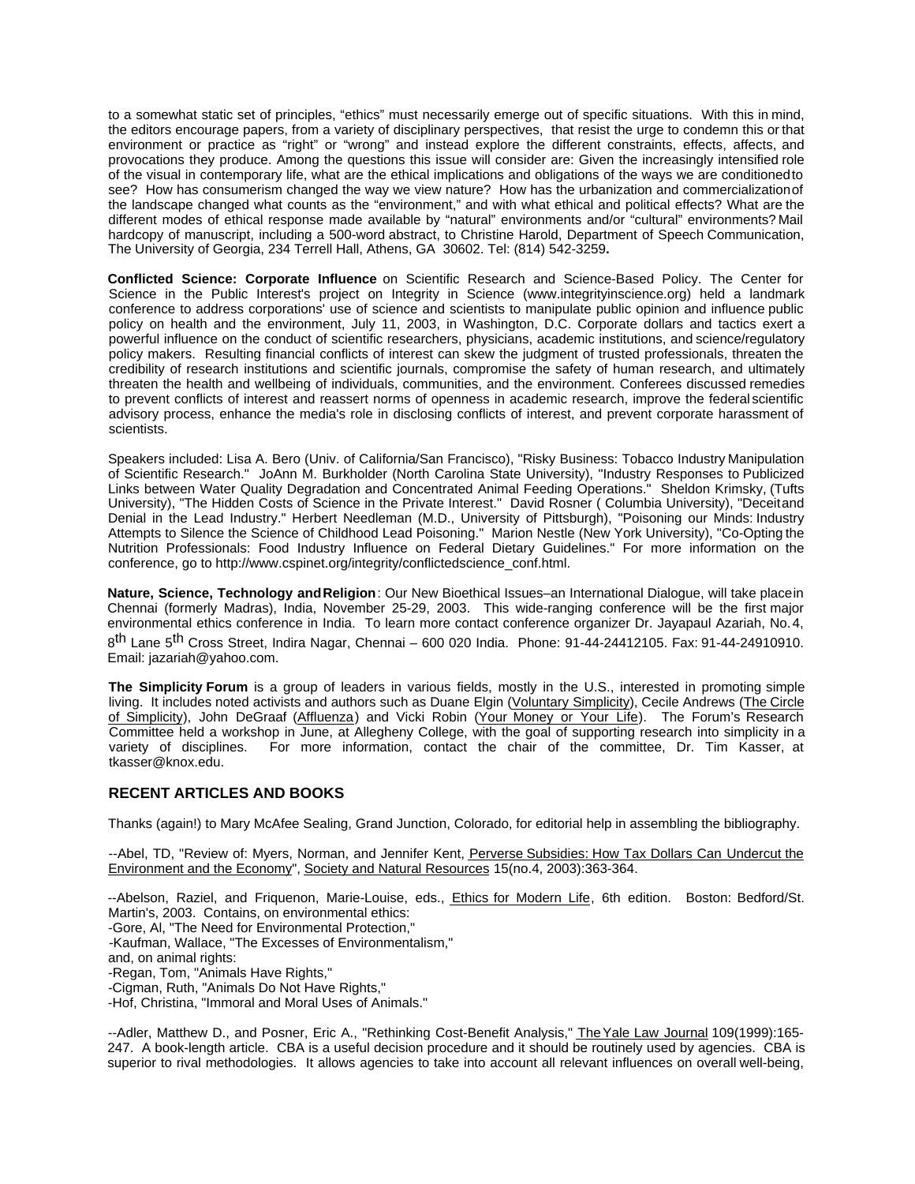to a somewhat static set of principles, "ethics" must necessarily emerge out of specific situations. With this in mind, the editors encourage papers, from a variety of disciplinary perspectives, that resist the urge to condemn this or that environment or practice as "right" or "wrong" and instead explore the different constraints, effects, affects, and provocations they produce. Among the questions this issue will consider are: Given the increasingly intensified role of the visual in contemporary life, what are the ethical implications and obligations of the ways we are conditioned to see? How has consumerism changed the way we view nature? How has the urbanization and commercialization of the landscape changed what counts as the "environment," and with what ethical and political effects? What are the different modes of ethical response made available by "natural" environments and/or "cultural" environments? Mail hardcopy of manuscript, including a 500-word abstract, to Christine Harold, Department of Speech Communication, The University of Georgia, 234 Terrell Hall, Athens, GA 30602. Tel: (814) 542-3259**.**

**Conflicted Science: Corporate Influence** on Scientific Research and Science-Based Policy. The Center for Science in the Public Interest's project on Integrity in Science (www.integrityinscience.org) held a landmark conference to address corporations' use of science and scientists to manipulate public opinion and influence public policy on health and the environment, July 11, 2003, in Washington, D.C. Corporate dollars and tactics exert a powerful influence on the conduct of scientific researchers, physicians, academic institutions, and science/regulatory policy makers. Resulting financial conflicts of interest can skew the judgment of trusted professionals, threaten the credibility of research institutions and scientific journals, compromise the safety of human research, and ultimately threaten the health and wellbeing of individuals, communities, and the environment. Conferees discussed remedies to prevent conflicts of interest and reassert norms of openness in academic research, improve the federal scientific advisory process, enhance the media's role in disclosing conflicts of interest, and prevent corporate harassment of scientists.

Speakers included: Lisa A. Bero (Univ. of California/San Francisco), "Risky Business: Tobacco Industry Manipulation of Scientific Research." JoAnn M. Burkholder (North Carolina State University), "Industry Responses to Publicized Links between Water Quality Degradation and Concentrated Animal Feeding Operations." Sheldon Krimsky, (Tufts University), "The Hidden Costs of Science in the Private Interest." David Rosner ( Columbia University), "Deceit and Denial in the Lead Industry." Herbert Needleman (M.D., University of Pittsburgh), "Poisoning our Minds: Industry Attempts to Silence the Science of Childhood Lead Poisoning." Marion Nestle (New York University), "Co-Opting the Nutrition Professionals: Food Industry Influence on Federal Dietary Guidelines." For more information on the conference, go to http://www.cspinet.org/integrity/conflictedscience\_conf.html.

**Nature, Science, Technology and Religion**: Our New Bioethical Issues–an International Dialogue, will take place in Chennai (formerly Madras), India, November 25-29, 2003. This wide-ranging conference will be the first major environmental ethics conference in India. To learn more contact conference organizer Dr. Jayapaul Azariah, No. 4, 8<sup>th</sup> Lane 5<sup>th</sup> Cross Street, Indira Nagar, Chennai – 600 020 India. Phone: 91-44-24412105. Fax: 91-44-24910910. Email: jazariah@yahoo.com.

**The Simplicity Forum** is a group of leaders in various fields, mostly in the U.S., interested in promoting simple living. It includes noted activists and authors such as Duane Elgin (Voluntary Simplicity), Cecile Andrews (The Circle of Simplicity), John DeGraaf (Affluenza) and Vicki Robin (Your Money or Your Life). The Forum's Research Committee held a workshop in June, at Allegheny College, with the goal of supporting research into simplicity in a variety of disciplines. For more information, contact the chair of the committee, Dr. Tim Kasser, at For more information, contact the chair of the committee, Dr. Tim Kasser, at tkasser@knox.edu.

### **RECENT ARTICLES AND BOOKS**

Thanks (again!) to Mary McAfee Sealing, Grand Junction, Colorado, for editorial help in assembling the bibliography.

--Abel, TD, "Review of: Myers, Norman, and Jennifer Kent, Perverse Subsidies: How Tax Dollars Can Undercut the Environment and the Economy", Society and Natural Resources 15(no.4, 2003):363-364.

--Abelson, Raziel, and Friquenon, Marie-Louise, eds., Ethics for Modern Life, 6th edition. Boston: Bedford/St. Martin's, 2003. Contains, on environmental ethics: -Gore, Al, "The Need for Environmental Protection," -Kaufman, Wallace, "The Excesses of Environmentalism," and, on animal rights: -Regan, Tom, "Animals Have Rights," -Cigman, Ruth, "Animals Do Not Have Rights," -Hof, Christina, "Immoral and Moral Uses of Animals."

--Adler, Matthew D., and Posner, Eric A., "Rethinking Cost-Benefit Analysis," The Yale Law Journal 109(1999):165-247. A book-length article. CBA is a useful decision procedure and it should be routinely used by agencies. CBA is superior to rival methodologies. It allows agencies to take into account all relevant influences on overall well-being,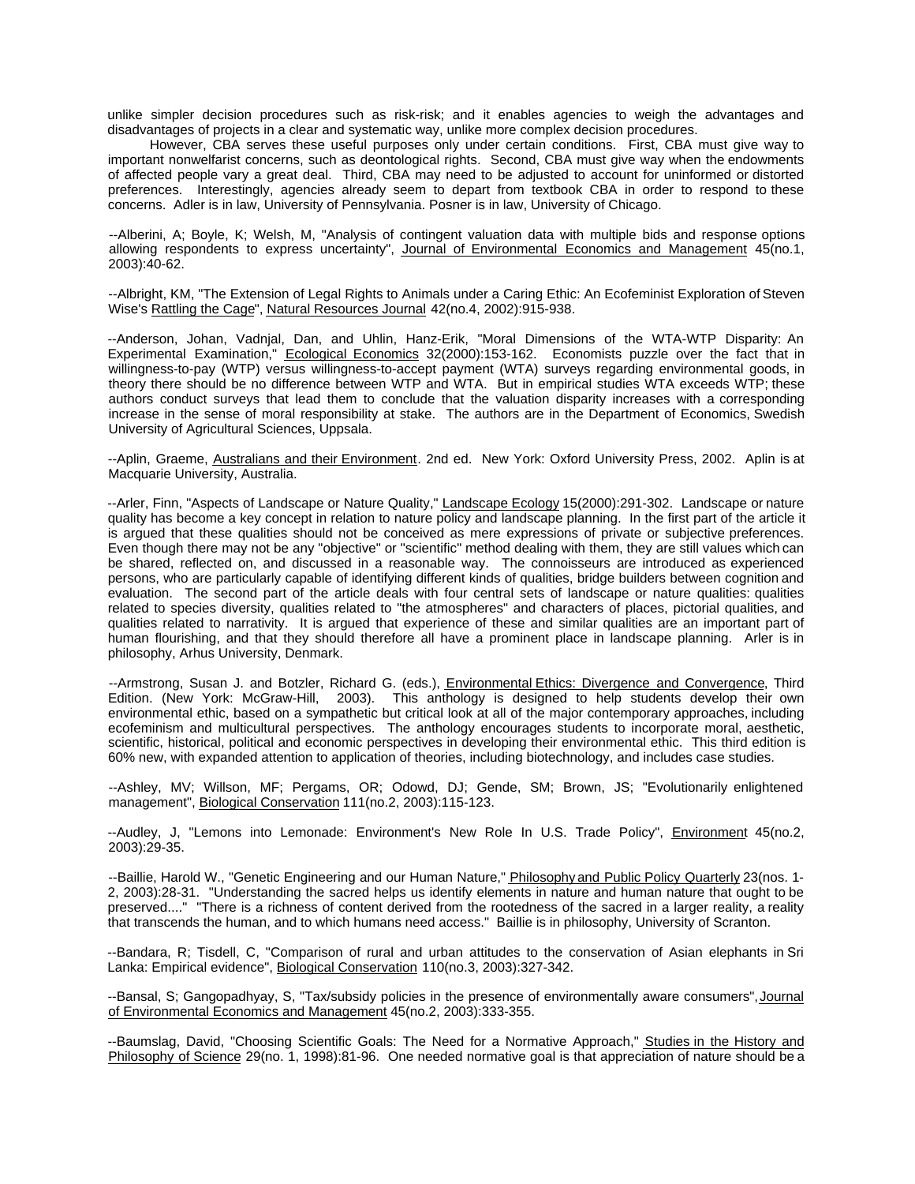unlike simpler decision procedures such as risk-risk; and it enables agencies to weigh the advantages and disadvantages of projects in a clear and systematic way, unlike more complex decision procedures.

However, CBA serves these useful purposes only under certain conditions. First, CBA must give way to important nonwelfarist concerns, such as deontological rights. Second, CBA must give way when the endowments of affected people vary a great deal. Third, CBA may need to be adjusted to account for uninformed or distorted preferences. Interestingly, agencies already seem to depart from textbook CBA in order to respond to these concerns. Adler is in law, University of Pennsylvania. Posner is in law, University of Chicago.

--Alberini, A; Boyle, K; Welsh, M, "Analysis of contingent valuation data with multiple bids and response options allowing respondents to express uncertainty", Journal of Environmental Economics and Management 45(no.1, 2003):40-62.

--Albright, KM, "The Extension of Legal Rights to Animals under a Caring Ethic: An Ecofeminist Exploration of Steven Wise's Rattling the Cage", Natural Resources Journal 42(no.4, 2002):915-938.

--Anderson, Johan, Vadnjal, Dan, and Uhlin, Hanz-Erik, "Moral Dimensions of the WTA-WTP Disparity: An Experimental Examination," Ecological Economics 32(2000):153-162. Economists puzzle over the fact that in willingness-to-pay (WTP) versus willingness-to-accept payment (WTA) surveys regarding environmental goods, in theory there should be no difference between WTP and WTA. But in empirical studies WTA exceeds WTP; these authors conduct surveys that lead them to conclude that the valuation disparity increases with a corresponding increase in the sense of moral responsibility at stake. The authors are in the Department of Economics, Swedish University of Agricultural Sciences, Uppsala.

--Aplin, Graeme, Australians and their Environment. 2nd ed. New York: Oxford University Press, 2002. Aplin is at Macquarie University, Australia.

--Arler, Finn, "Aspects of Landscape or Nature Quality," Landscape Ecology 15(2000):291-302. Landscape or nature quality has become a key concept in relation to nature policy and landscape planning. In the first part of the article it is argued that these qualities should not be conceived as mere expressions of private or subjective preferences. Even though there may not be any "objective" or "scientific" method dealing with them, they are still values which can be shared, reflected on, and discussed in a reasonable way. The connoisseurs are introduced as experienced persons, who are particularly capable of identifying different kinds of qualities, bridge builders between cognition and evaluation. The second part of the article deals with four central sets of landscape or nature qualities: qualities related to species diversity, qualities related to "the atmospheres" and characters of places, pictorial qualities, and qualities related to narrativity. It is argued that experience of these and similar qualities are an important part of human flourishing, and that they should therefore all have a prominent place in landscape planning. Arler is in philosophy, Arhus University, Denmark.

--Armstrong, Susan J. and Botzler, Richard G. (eds.), Environmental Ethics: Divergence and Convergence, Third Edition. (New York: McGraw-Hill, 2003). This anthology is designed to help students develop their own environmental ethic, based on a sympathetic but critical look at all of the major contemporary approaches, including ecofeminism and multicultural perspectives. The anthology encourages students to incorporate moral, aesthetic, scientific, historical, political and economic perspectives in developing their environmental ethic. This third edition is 60% new, with expanded attention to application of theories, including biotechnology, and includes case studies.

--Ashley, MV; Willson, MF; Pergams, OR; Odowd, DJ; Gende, SM; Brown, JS; "Evolutionarily enlightened management", Biological Conservation 111(no.2, 2003):115-123.

--Audley, J, "Lemons into Lemonade: Environment's New Role In U.S. Trade Policy", Environment 45(no.2, 2003):29-35.

--Baillie, Harold W., "Genetic Engineering and our Human Nature," **Philosophy and Public Policy Quarterly** 23(nos. 1-2, 2003):28-31. "Understanding the sacred helps us identify elements in nature and human nature that ought to be preserved...." "There is a richness of content derived from the rootedness of the sacred in a larger reality, a reality that transcends the human, and to which humans need access." Baillie is in philosophy, University of Scranton.

--Bandara, R; Tisdell, C, "Comparison of rural and urban attitudes to the conservation of Asian elephants in Sri Lanka: Empirical evidence", Biological Conservation 110(no.3, 2003):327-342.

--Bansal, S; Gangopadhyay, S, "Tax/subsidy policies in the presence of environmentally aware consumers", Journal of Environmental Economics and Management 45(no.2, 2003):333-355.

--Baumslag, David, "Choosing Scientific Goals: The Need for a Normative Approach," Studies in the History and Philosophy of Science 29(no. 1, 1998):81-96. One needed normative goal is that appreciation of nature should be a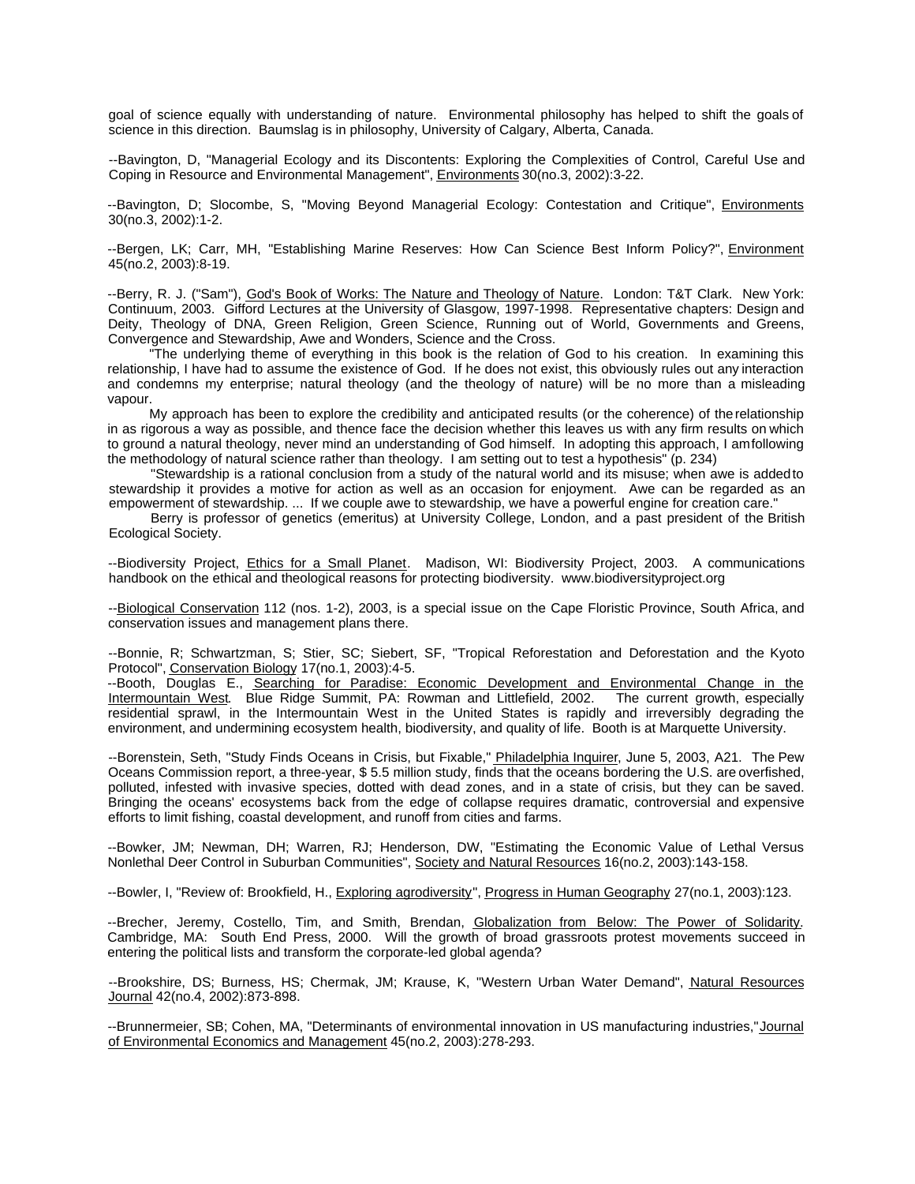goal of science equally with understanding of nature. Environmental philosophy has helped to shift the goals of science in this direction. Baumslag is in philosophy, University of Calgary, Alberta, Canada.

--Bavington, D, "Managerial Ecology and its Discontents: Exploring the Complexities of Control, Careful Use and Coping in Resource and Environmental Management", Environments 30(no.3, 2002):3-22.

--Bavington, D; Slocombe, S, "Moving Beyond Managerial Ecology: Contestation and Critique", Environments 30(no.3, 2002):1-2.

--Bergen, LK; Carr, MH, "Establishing Marine Reserves: How Can Science Best Inform Policy?", Environment 45(no.2, 2003):8-19.

--Berry, R. J. ("Sam"), God's Book of Works: The Nature and Theology of Nature. London: T&T Clark. New York: Continuum, 2003. Gifford Lectures at the University of Glasgow, 1997-1998. Representative chapters: Design and Deity, Theology of DNA, Green Religion, Green Science, Running out of World, Governments and Greens, Convergence and Stewardship, Awe and Wonders, Science and the Cross.

"The underlying theme of everything in this book is the relation of God to his creation. In examining this relationship, I have had to assume the existence of God. If he does not exist, this obviously rules out any interaction and condemns my enterprise; natural theology (and the theology of nature) will be no more than a misleading vapour.

My approach has been to explore the credibility and anticipated results (or the coherence) of the relationship in as rigorous a way as possible, and thence face the decision whether this leaves us with any firm results on which to ground a natural theology, never mind an understanding of God himself. In adopting this approach, I am following the methodology of natural science rather than theology. I am setting out to test a hypothesis" (p. 234)

"Stewardship is a rational conclusion from a study of the natural world and its misuse; when awe is added to stewardship it provides a motive for action as well as an occasion for enjoyment. Awe can be regarded as an empowerment of stewardship. ... If we couple awe to stewardship, we have a powerful engine for creation care."

Berry is professor of genetics (emeritus) at University College, London, and a past president of the British Ecological Society.

--Biodiversity Project, Ethics for a Small Planet. Madison, WI: Biodiversity Project, 2003. A communications handbook on the ethical and theological reasons for protecting biodiversity. www.biodiversityproject.org

--Biological Conservation 112 (nos. 1-2), 2003, is a special issue on the Cape Floristic Province, South Africa, and conservation issues and management plans there.

--Bonnie, R; Schwartzman, S; Stier, SC; Siebert, SF, "Tropical Reforestation and Deforestation and the Kyoto Protocol", Conservation Biology 17(no.1, 2003):4-5.

--Booth, Douglas E., Searching for Paradise: Economic Development and Environmental Change in the Intermountain West. Blue Ridge Summit, PA: Rowman and Littlefield, 2002. The current growth, especially residential sprawl, in the Intermountain West in the United States is rapidly and irreversibly degrading the environment, and undermining ecosystem health, biodiversity, and quality of life. Booth is at Marquette University.

--Borenstein, Seth, "Study Finds Oceans in Crisis, but Fixable," Philadelphia Inquirer, June 5, 2003, A21. The Pew Oceans Commission report, a three-year, \$ 5.5 million study, finds that the oceans bordering the U.S. are overfished, polluted, infested with invasive species, dotted with dead zones, and in a state of crisis, but they can be saved. Bringing the oceans' ecosystems back from the edge of collapse requires dramatic, controversial and expensive efforts to limit fishing, coastal development, and runoff from cities and farms.

--Bowker, JM; Newman, DH; Warren, RJ; Henderson, DW, "Estimating the Economic Value of Lethal Versus Nonlethal Deer Control in Suburban Communities", Society and Natural Resources 16(no.2, 2003):143-158.

--Bowler, I, "Review of: Brookfield, H., Exploring agrodiversity", Progress in Human Geography 27(no.1, 2003):123.

--Brecher, Jeremy, Costello, Tim, and Smith, Brendan, Globalization from Below: The Power of Solidarity. Cambridge, MA: South End Press, 2000. Will the growth of broad grassroots protest movements succeed in entering the political lists and transform the corporate-led global agenda?

--Brookshire, DS; Burness, HS; Chermak, JM; Krause, K, "Western Urban Water Demand", Natural Resources Journal 42(no.4, 2002):873-898.

--Brunnermeier, SB; Cohen, MA, "Determinants of environmental innovation in US manufacturing industries," Journal of Environmental Economics and Management 45(no.2, 2003):278-293.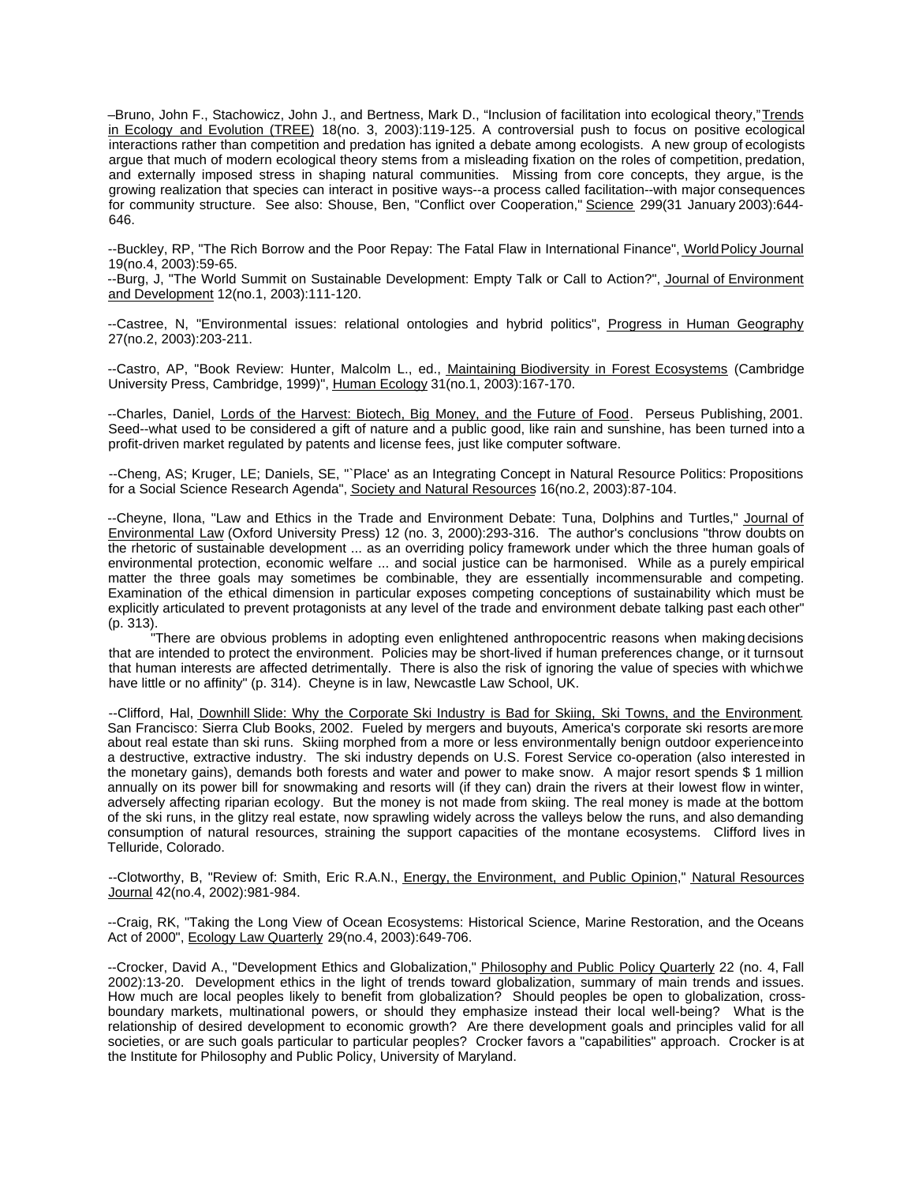–Bruno, John F., Stachowicz, John J., and Bertness, Mark D., "Inclusion of facilitation into ecological theory," Trends in Ecology and Evolution (TREE) 18(no. 3, 2003):119-125. A controversial push to focus on positive ecological interactions rather than competition and predation has ignited a debate among ecologists. A new group of ecologists argue that much of modern ecological theory stems from a misleading fixation on the roles of competition, predation, and externally imposed stress in shaping natural communities. Missing from core concepts, they argue, is the growing realization that species can interact in positive ways--a process called facilitation--with major consequences for community structure. See also: Shouse, Ben, "Conflict over Cooperation," Science 299(31 January 2003):644- 646.

--Buckley, RP, "The Rich Borrow and the Poor Repay: The Fatal Flaw in International Finance", World Policy Journal 19(no.4, 2003):59-65.

--Burg, J, "The World Summit on Sustainable Development: Empty Talk or Call to Action?", Journal of Environment and Development 12(no.1, 2003):111-120.

--Castree, N, "Environmental issues: relational ontologies and hybrid politics", Progress in Human Geography 27(no.2, 2003):203-211.

--Castro, AP, "Book Review: Hunter, Malcolm L., ed., Maintaining Biodiversity in Forest Ecosystems (Cambridge University Press, Cambridge, 1999)", Human Ecology 31(no.1, 2003):167-170.

--Charles, Daniel, Lords of the Harvest: Biotech, Big Money, and the Future of Food. Perseus Publishing, 2001. Seed--what used to be considered a gift of nature and a public good, like rain and sunshine, has been turned into a profit-driven market regulated by patents and license fees, just like computer software.

--Cheng, AS; Kruger, LE; Daniels, SE, "`Place' as an Integrating Concept in Natural Resource Politics: Propositions for a Social Science Research Agenda", Society and Natural Resources 16(no.2, 2003):87-104.

--Cheyne, Ilona, "Law and Ethics in the Trade and Environment Debate: Tuna, Dolphins and Turtles," Journal of Environmental Law (Oxford University Press) 12 (no. 3, 2000):293-316. The author's conclusions "throw doubts on the rhetoric of sustainable development ... as an overriding policy framework under which the three human goals of environmental protection, economic welfare ... and social justice can be harmonised. While as a purely empirical matter the three goals may sometimes be combinable, they are essentially incommensurable and competing. Examination of the ethical dimension in particular exposes competing conceptions of sustainability which must be explicitly articulated to prevent protagonists at any level of the trade and environment debate talking past each other" (p. 313).

"There are obvious problems in adopting even enlightened anthropocentric reasons when making decisions that are intended to protect the environment. Policies may be short-lived if human preferences change, or it turns out that human interests are affected detrimentally. There is also the risk of ignoring the value of species with which we have little or no affinity" (p. 314). Cheyne is in law, Newcastle Law School, UK.

--Clifford, Hal, Downhill Slide: Why the Corporate Ski Industry is Bad for Skiing, Ski Towns, and the Environment. San Francisco: Sierra Club Books, 2002. Fueled by mergers and buyouts, America's corporate ski resorts are more about real estate than ski runs. Skiing morphed from a more or less environmentally benign outdoor experience into a destructive, extractive industry. The ski industry depends on U.S. Forest Service co-operation (also interested in the monetary gains), demands both forests and water and power to make snow. A major resort spends \$ 1 million annually on its power bill for snowmaking and resorts will (if they can) drain the rivers at their lowest flow in winter, adversely affecting riparian ecology. But the money is not made from skiing. The real money is made at the bottom of the ski runs, in the glitzy real estate, now sprawling widely across the valleys below the runs, and also demanding consumption of natural resources, straining the support capacities of the montane ecosystems. Clifford lives in Telluride, Colorado.

--Clotworthy, B, "Review of: Smith, Eric R.A.N., *Energy, the Environment, and Public Opinion*," Natural Resources Journal 42(no.4, 2002):981-984.

--Craig, RK, "Taking the Long View of Ocean Ecosystems: Historical Science, Marine Restoration, and the Oceans Act of 2000", Ecology Law Quarterly 29(no.4, 2003):649-706.

--Crocker, David A., "Development Ethics and Globalization," Philosophy and Public Policy Quarterly 22 (no. 4, Fall 2002):13-20. Development ethics in the light of trends toward globalization, summary of main trends and issues. How much are local peoples likely to benefit from globalization? Should peoples be open to globalization, crossboundary markets, multinational powers, or should they emphasize instead their local well-being? What is the relationship of desired development to economic growth? Are there development goals and principles valid for all societies, or are such goals particular to particular peoples? Crocker favors a "capabilities" approach. Crocker is at the Institute for Philosophy and Public Policy, University of Maryland.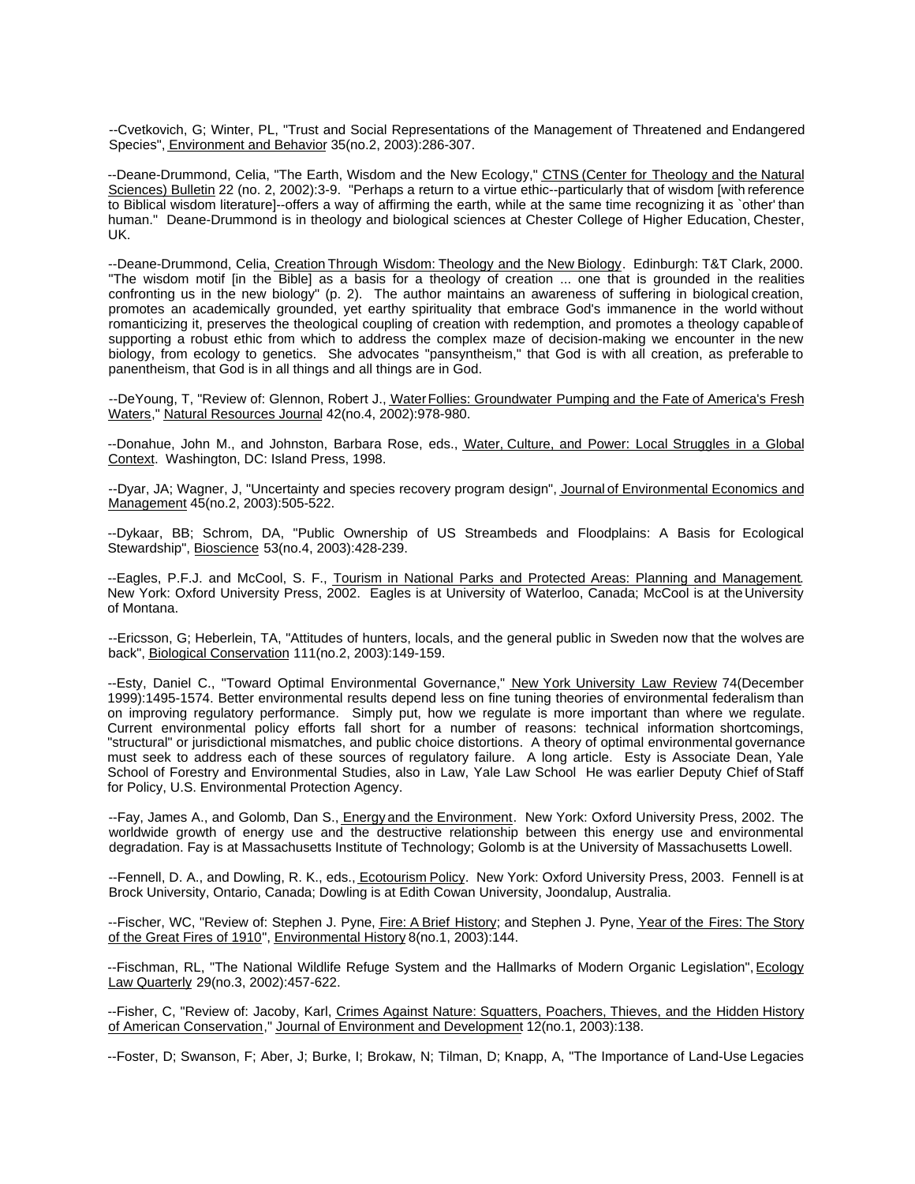--Cvetkovich, G; Winter, PL, "Trust and Social Representations of the Management of Threatened and Endangered Species", Environment and Behavior 35(no.2, 2003):286-307.

--Deane-Drummond, Celia, "The Earth, Wisdom and the New Ecology," CTNS (Center for Theology and the Natural Sciences) Bulletin 22 (no. 2, 2002):3-9. "Perhaps a return to a virtue ethic--particularly that of wisdom [with reference to Biblical wisdom literature]--offers a way of affirming the earth, while at the same time recognizing it as `other' than human." Deane-Drummond is in theology and biological sciences at Chester College of Higher Education, Chester, UK.

--Deane-Drummond, Celia, Creation Through Wisdom: Theology and the New Biology. Edinburgh: T&T Clark, 2000. "The wisdom motif [in the Bible] as a basis for a theology of creation ... one that is grounded in the realities confronting us in the new biology" (p. 2). The author maintains an awareness of suffering in biological creation, promotes an academically grounded, yet earthy spirituality that embrace God's immanence in the world without romanticizing it, preserves the theological coupling of creation with redemption, and promotes a theology capable of supporting a robust ethic from which to address the complex maze of decision-making we encounter in the new biology, from ecology to genetics. She advocates "pansyntheism," that God is with all creation, as preferable to panentheism, that God is in all things and all things are in God.

--DeYoung, T, "Review of: Glennon, Robert J., Water Follies: Groundwater Pumping and the Fate of America's Fresh Waters," Natural Resources Journal 42(no.4, 2002):978-980.

--Donahue, John M., and Johnston, Barbara Rose, eds., Water, Culture, and Power: Local Struggles in a Global Context. Washington, DC: Island Press, 1998.

--Dyar, JA; Wagner, J, "Uncertainty and species recovery program design", Journal of Environmental Economics and Management 45(no.2, 2003):505-522.

--Dykaar, BB; Schrom, DA, "Public Ownership of US Streambeds and Floodplains: A Basis for Ecological Stewardship", Bioscience 53(no.4, 2003):428-239.

--Eagles, P.F.J. and McCool, S. F., Tourism in National Parks and Protected Areas: Planning and Management. New York: Oxford University Press, 2002. Eagles is at University of Waterloo, Canada; McCool is at the University of Montana.

--Ericsson, G; Heberlein, TA, "Attitudes of hunters, locals, and the general public in Sweden now that the wolves are back", Biological Conservation 111(no.2, 2003):149-159.

--Esty, Daniel C., "Toward Optimal Environmental Governance," New York University Law Review 74(December 1999):1495-1574. Better environmental results depend less on fine tuning theories of environmental federalism than on improving regulatory performance. Simply put, how we regulate is more important than where we regulate. Current environmental policy efforts fall short for a number of reasons: technical information shortcomings, "structural" or jurisdictional mismatches, and public choice distortions. A theory of optimal environmental governance must seek to address each of these sources of regulatory failure. A long article. Esty is Associate Dean, Yale School of Forestry and Environmental Studies, also in Law, Yale Law School He was earlier Deputy Chief of Staff for Policy, U.S. Environmental Protection Agency.

--Fay, James A., and Golomb, Dan S., Energy and the Environment. New York: Oxford University Press, 2002. The worldwide growth of energy use and the destructive relationship between this energy use and environmental degradation. Fay is at Massachusetts Institute of Technology; Golomb is at the University of Massachusetts Lowell.

--Fennell, D. A., and Dowling, R. K., eds., Ecotourism Policy. New York: Oxford University Press, 2003. Fennell is at Brock University, Ontario, Canada; Dowling is at Edith Cowan University, Joondalup, Australia.

--Fischer, WC, "Review of: Stephen J. Pyne, Fire: A Brief History; and Stephen J. Pyne, Year of the Fires: The Story of the Great Fires of 1910", Environmental History 8(no.1, 2003):144.

--Fischman, RL, "The National Wildlife Refuge System and the Hallmarks of Modern Organic Legislation", Ecology Law Quarterly 29(no.3, 2002):457-622.

--Fisher, C, "Review of: Jacoby, Karl, Crimes Against Nature: Squatters, Poachers, Thieves, and the Hidden History of American Conservation," Journal of Environment and Development 12(no.1, 2003):138.

--Foster, D; Swanson, F; Aber, J; Burke, I; Brokaw, N; Tilman, D; Knapp, A, "The Importance of Land-Use Legacies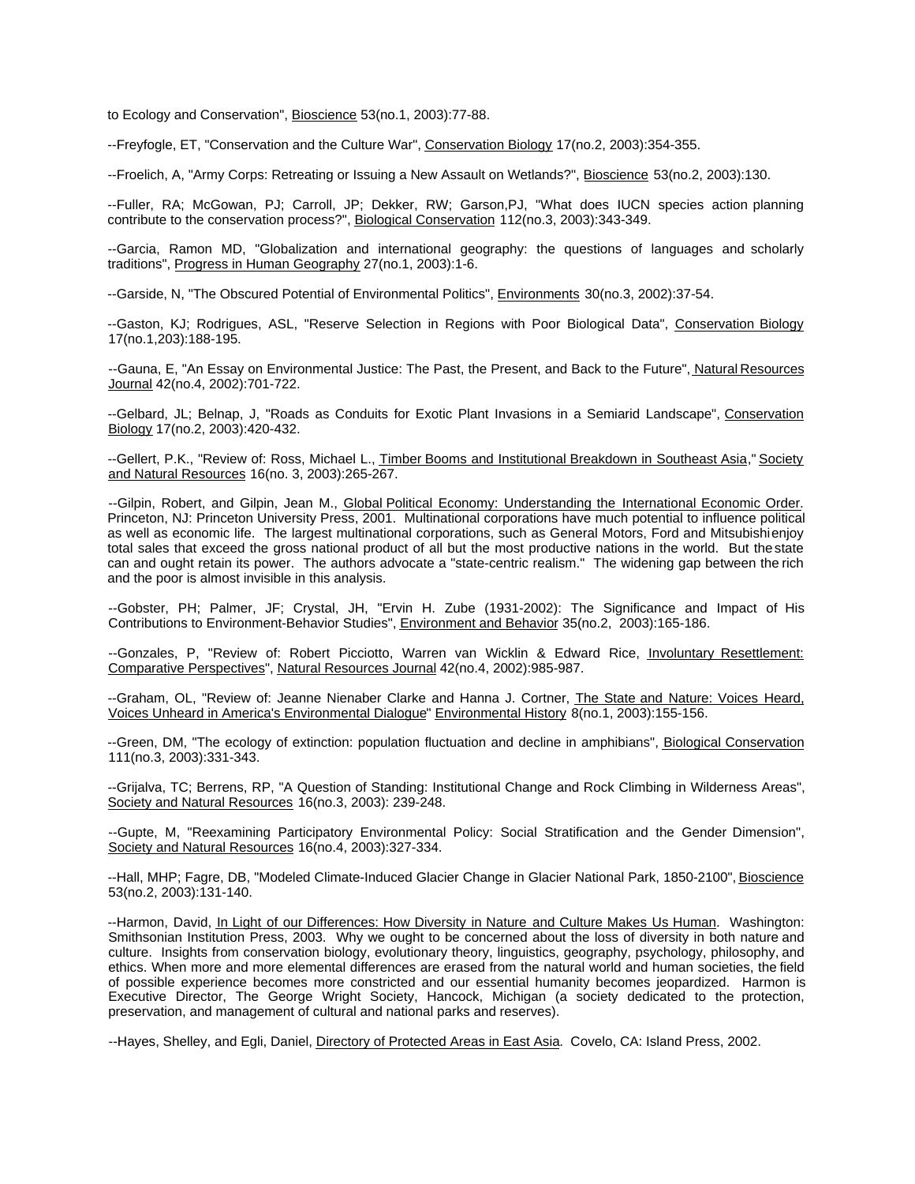to Ecology and Conservation", Bioscience 53(no.1, 2003):77-88.

--Freyfogle, ET, "Conservation and the Culture War", Conservation Biology 17(no.2, 2003):354-355.

--Froelich, A. "Army Corps: Retreating or Issuing a New Assault on Wetlands?", Bioscience 53(no.2, 2003):130.

--Fuller, RA; McGowan, PJ; Carroll, JP; Dekker, RW; Garson,PJ, "What does IUCN species action planning contribute to the conservation process?", Biological Conservation 112(no.3, 2003):343-349.

--Garcia, Ramon MD, "Globalization and international geography: the questions of languages and scholarly traditions", Progress in Human Geography 27(no.1, 2003):1-6.

--Garside, N, "The Obscured Potential of Environmental Politics", Environments 30(no.3, 2002):37-54.

--Gaston, KJ; Rodrigues, ASL, "Reserve Selection in Regions with Poor Biological Data", Conservation Biology 17(no.1,203):188-195.

--Gauna, E, "An Essay on Environmental Justice: The Past, the Present, and Back to the Future", Natural Resources Journal 42(no.4, 2002):701-722.

--Gelbard, JL; Belnap, J, "Roads as Conduits for Exotic Plant Invasions in a Semiarid Landscape", Conservation Biology 17(no.2, 2003):420-432.

--Gellert, P.K., "Review of: Ross, Michael L., Timber Booms and Institutional Breakdown in Southeast Asia," Society and Natural Resources 16(no. 3, 2003):265-267.

--Gilpin, Robert, and Gilpin, Jean M., Global Political Economy: Understanding the International Economic Order. Princeton, NJ: Princeton University Press, 2001. Multinational corporations have much potential to influence political as well as economic life. The largest multinational corporations, such as General Motors, Ford and Mitsubishi enjoy total sales that exceed the gross national product of all but the most productive nations in the world. But the state can and ought retain its power. The authors advocate a "state-centric realism." The widening gap between the rich and the poor is almost invisible in this analysis.

--Gobster, PH; Palmer, JF; Crystal, JH, "Ervin H. Zube (1931-2002): The Significance and Impact of His Contributions to Environment-Behavior Studies", Environment and Behavior 35(no.2, 2003):165-186.

--Gonzales, P, "Review of: Robert Picciotto, Warren van Wicklin & Edward Rice, Involuntary Resettlement: Comparative Perspectives", Natural Resources Journal 42(no.4, 2002):985-987.

--Graham, OL, "Review of: Jeanne Nienaber Clarke and Hanna J. Cortner, The State and Nature: Voices Heard, Voices Unheard in America's Environmental Dialogue" Environmental History 8(no.1, 2003):155-156.

--Green, DM, "The ecology of extinction: population fluctuation and decline in amphibians", Biological Conservation 111(no.3, 2003):331-343.

--Grijalva, TC; Berrens, RP, "A Question of Standing: Institutional Change and Rock Climbing in Wilderness Areas", Society and Natural Resources 16(no.3, 2003): 239-248.

--Gupte, M, "Reexamining Participatory Environmental Policy: Social Stratification and the Gender Dimension", Society and Natural Resources 16(no.4, 2003):327-334.

--Hall, MHP; Fagre, DB, "Modeled Climate-Induced Glacier Change in Glacier National Park, 1850-2100", Bioscience 53(no.2, 2003):131-140.

--Harmon, David, In Light of our Differences: How Diversity in Nature and Culture Makes Us Human. Washington: Smithsonian Institution Press, 2003. Why we ought to be concerned about the loss of diversity in both nature and culture. Insights from conservation biology, evolutionary theory, linguistics, geography, psychology, philosophy, and ethics. When more and more elemental differences are erased from the natural world and human societies, the field of possible experience becomes more constricted and our essential humanity becomes jeopardized. Harmon is Executive Director, The George Wright Society, Hancock, Michigan (a society dedicated to the protection, preservation, and management of cultural and national parks and reserves).

--Hayes, Shelley, and Egli, Daniel, Directory of Protected Areas in East Asia. Covelo, CA: Island Press, 2002.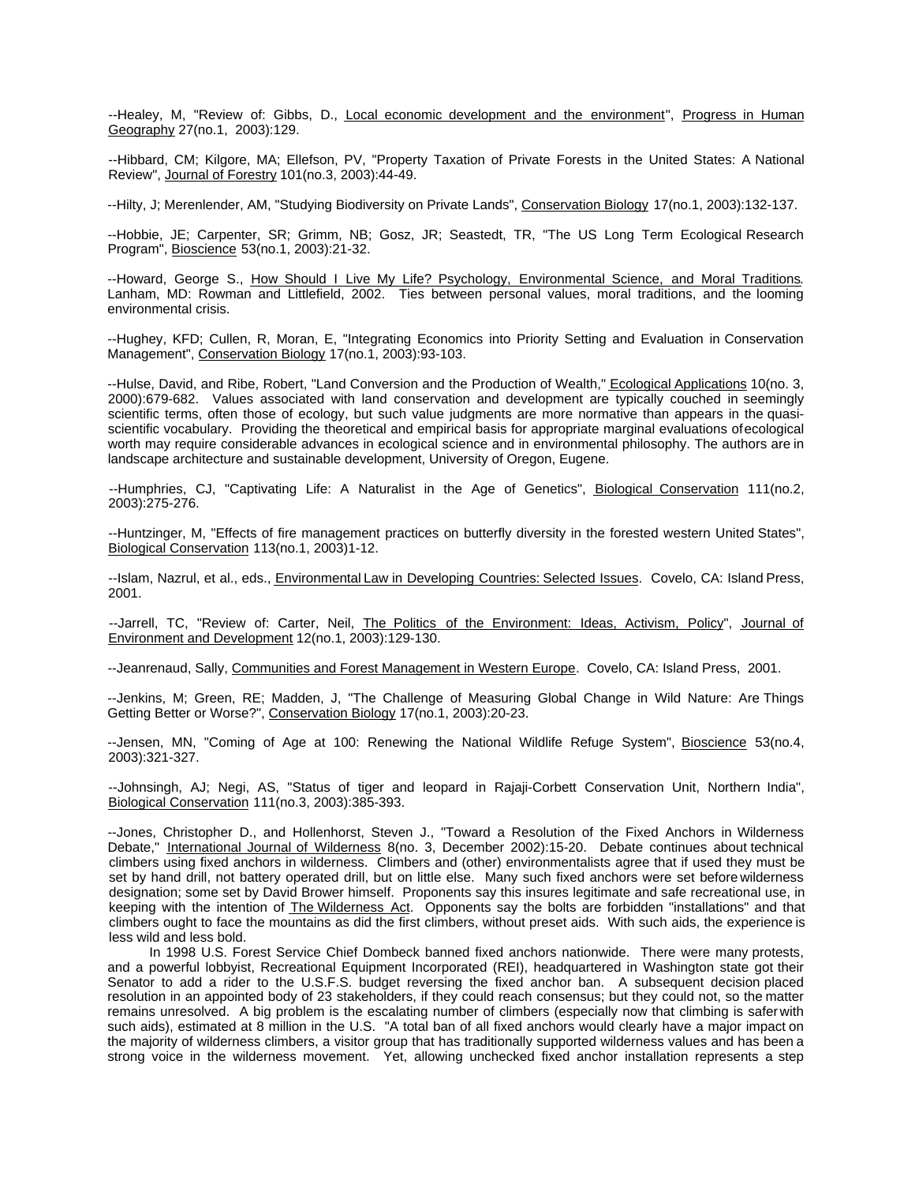--Healey, M, "Review of: Gibbs, D., Local economic development and the environment", Progress in Human Geography 27(no.1, 2003):129.

--Hibbard, CM; Kilgore, MA; Ellefson, PV, "Property Taxation of Private Forests in the United States: A National Review", Journal of Forestry 101(no.3, 2003):44-49.

--Hilty, J; Merenlender, AM, "Studying Biodiversity on Private Lands", Conservation Biology 17(no.1, 2003):132-137.

--Hobbie, JE; Carpenter, SR; Grimm, NB; Gosz, JR; Seastedt, TR, "The US Long Term Ecological Research Program", Bioscience 53(no.1, 2003):21-32.

--Howard, George S., How Should I Live My Life? Psychology, Environmental Science, and Moral Traditions. Lanham, MD: Rowman and Littlefield, 2002. Ties between personal values, moral traditions, and the looming environmental crisis.

--Hughey, KFD; Cullen, R, Moran, E, "Integrating Economics into Priority Setting and Evaluation in Conservation Management", Conservation Biology 17(no.1, 2003):93-103.

--Hulse, David, and Ribe, Robert, "Land Conversion and the Production of Wealth," Ecological Applications 10(no. 3, 2000):679-682. Values associated with land conservation and development are typically couched in seemingly scientific terms, often those of ecology, but such value judgments are more normative than appears in the quasiscientific vocabulary. Providing the theoretical and empirical basis for appropriate marginal evaluations of ecological worth may require considerable advances in ecological science and in environmental philosophy. The authors are in landscape architecture and sustainable development, University of Oregon, Eugene.

--Humphries, CJ, "Captivating Life: A Naturalist in the Age of Genetics", Biological Conservation 111(no.2, 2003):275-276.

--Huntzinger, M, "Effects of fire management practices on butterfly diversity in the forested western United States", Biological Conservation 113(no.1, 2003)1-12.

--Islam, Nazrul, et al., eds., Environmental Law in Developing Countries: Selected Issues. Covelo, CA: Island Press, 2001.

--Jarrell, TC, "Review of: Carter, Neil, The Politics of the Environment: Ideas, Activism, Policy", Journal of Environment and Development 12(no.1, 2003):129-130.

--Jeanrenaud, Sally, Communities and Forest Management in Western Europe. Covelo, CA: Island Press, 2001.

--Jenkins, M; Green, RE; Madden, J, "The Challenge of Measuring Global Change in Wild Nature: Are Things Getting Better or Worse?", Conservation Biology 17(no.1, 2003):20-23.

--Jensen, MN, "Coming of Age at 100: Renewing the National Wildlife Refuge System", Bioscience 53(no.4, 2003):321-327.

--Johnsingh, AJ; Negi, AS, "Status of tiger and leopard in Rajaji-Corbett Conservation Unit, Northern India", Biological Conservation 111(no.3, 2003):385-393.

--Jones, Christopher D., and Hollenhorst, Steven J., "Toward a Resolution of the Fixed Anchors in Wilderness Debate," International Journal of Wilderness 8(no. 3, December 2002):15-20. Debate continues about technical climbers using fixed anchors in wilderness. Climbers and (other) environmentalists agree that if used they must be set by hand drill, not battery operated drill, but on little else. Many such fixed anchors were set before wilderness designation; some set by David Brower himself. Proponents say this insures legitimate and safe recreational use, in keeping with the intention of The Wilderness Act. Opponents say the bolts are forbidden "installations" and that climbers ought to face the mountains as did the first climbers, without preset aids. With such aids, the experience is less wild and less bold.

In 1998 U.S. Forest Service Chief Dombeck banned fixed anchors nationwide. There were many protests, and a powerful lobbyist, Recreational Equipment Incorporated (REI), headquartered in Washington state got their Senator to add a rider to the U.S.F.S. budget reversing the fixed anchor ban. A subsequent decision placed resolution in an appointed body of 23 stakeholders, if they could reach consensus; but they could not, so the matter remains unresolved. A big problem is the escalating number of climbers (especially now that climbing is safer with such aids), estimated at 8 million in the U.S. "A total ban of all fixed anchors would clearly have a major impact on the majority of wilderness climbers, a visitor group that has traditionally supported wilderness values and has been a strong voice in the wilderness movement. Yet, allowing unchecked fixed anchor installation represents a step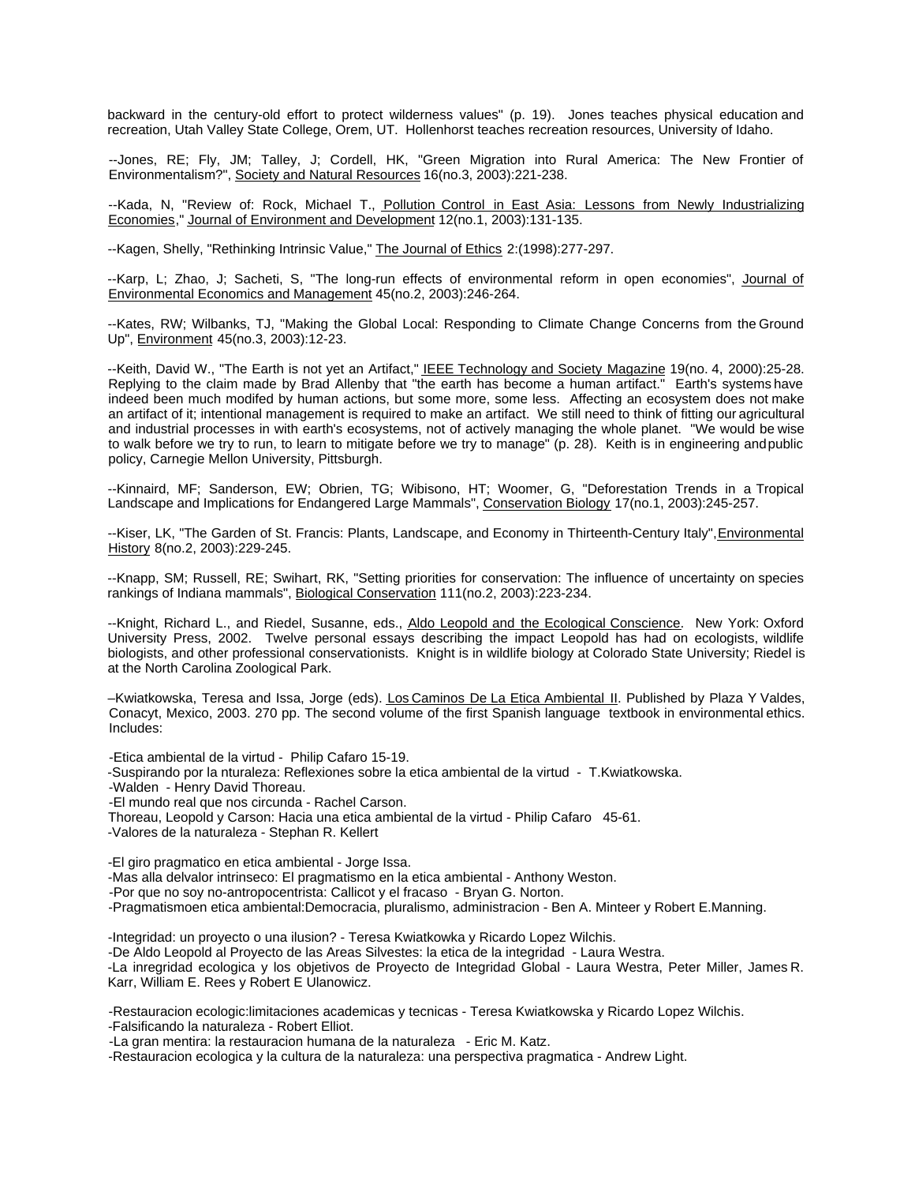backward in the century-old effort to protect wilderness values" (p. 19). Jones teaches physical education and recreation, Utah Valley State College, Orem, UT. Hollenhorst teaches recreation resources, University of Idaho.

--Jones, RE; Fly, JM; Talley, J; Cordell, HK, "Green Migration into Rural America: The New Frontier of Environmentalism?", Society and Natural Resources 16(no.3, 2003):221-238.

--Kada, N, "Review of: Rock, Michael T., Pollution Control in East Asia: Lessons from Newly Industrializing Economies," Journal of Environment and Development 12(no.1, 2003):131-135.

--Kagen, Shelly, "Rethinking Intrinsic Value," The Journal of Ethics 2:(1998):277-297.

--Karp, L; Zhao, J; Sacheti, S, "The long-run effects of environmental reform in open economies", Journal of Environmental Economics and Management 45(no.2, 2003):246-264.

--Kates, RW; Wilbanks, TJ, "Making the Global Local: Responding to Climate Change Concerns from the Ground Up", Environment 45(no.3, 2003):12-23.

--Keith, David W., "The Earth is not yet an Artifact," IEEE Technology and Society Magazine 19(no. 4, 2000):25-28. Replying to the claim made by Brad Allenby that "the earth has become a human artifact." Earth's systems have indeed been much modifed by human actions, but some more, some less. Affecting an ecosystem does not make an artifact of it; intentional management is required to make an artifact. We still need to think of fitting our agricultural and industrial processes in with earth's ecosystems, not of actively managing the whole planet. "We would be wise to walk before we try to run, to learn to mitigate before we try to manage" (p. 28). Keith is in engineering and public policy, Carnegie Mellon University, Pittsburgh.

--Kinnaird, MF; Sanderson, EW; Obrien, TG; Wibisono, HT; Woomer, G, "Deforestation Trends in a Tropical Landscape and Implications for Endangered Large Mammals", Conservation Biology 17(no.1, 2003):245-257.

--Kiser, LK, "The Garden of St. Francis: Plants, Landscape, and Economy in Thirteenth-Century Italy", Environmental History 8(no.2, 2003):229-245.

--Knapp, SM; Russell, RE; Swihart, RK, "Setting priorities for conservation: The influence of uncertainty on species rankings of Indiana mammals", Biological Conservation 111(no.2, 2003):223-234.

--Knight, Richard L., and Riedel, Susanne, eds., Aldo Leopold and the Ecological Conscience. New York: Oxford University Press, 2002. Twelve personal essays describing the impact Leopold has had on ecologists, wildlife biologists, and other professional conservationists. Knight is in wildlife biology at Colorado State University; Riedel is at the North Carolina Zoological Park.

–Kwiatkowska, Teresa and Issa, Jorge (eds). Los Caminos De La Etica Ambiental II. Published by Plaza Y Valdes, Conacyt, Mexico, 2003. 270 pp. The second volume of the first Spanish language textbook in environmental ethics. Includes:

-Etica ambiental de la virtud - Philip Cafaro 15-19.

-Suspirando por la nturaleza: Reflexiones sobre la etica ambiental de la virtud - T.Kwiatkowska.

-Walden - Henry David Thoreau.

-El mundo real que nos circunda - Rachel Carson.

Thoreau, Leopold y Carson: Hacia una etica ambiental de la virtud - Philip Cafaro 45-61.

-Valores de la naturaleza - Stephan R. Kellert

-El giro pragmatico en etica ambiental - Jorge Issa.

-Mas alla delvalor intrinseco: El pragmatismo en la etica ambiental - Anthony Weston.

-Por que no soy no-antropocentrista: Callicot y el fracaso - Bryan G. Norton.

-Pragmatismoen etica ambiental:Democracia, pluralismo, administracion - Ben A. Minteer y Robert E.Manning.

-Integridad: un proyecto o una ilusion? - Teresa Kwiatkowka y Ricardo Lopez Wilchis.

-De Aldo Leopold al Proyecto de las Areas Silvestes: la etica de la integridad - Laura Westra.

-La inregridad ecologica y los objetivos de Proyecto de Integridad Global - Laura Westra, Peter Miller, James R. Karr, William E. Rees y Robert E Ulanowicz.

-Restauracion ecologic:limitaciones academicas y tecnicas - Teresa Kwiatkowska y Ricardo Lopez Wilchis. -Falsificando la naturaleza - Robert Elliot.

-La gran mentira: la restauracion humana de la naturaleza - Eric M. Katz.

-Restauracion ecologica y la cultura de la naturaleza: una perspectiva pragmatica - Andrew Light.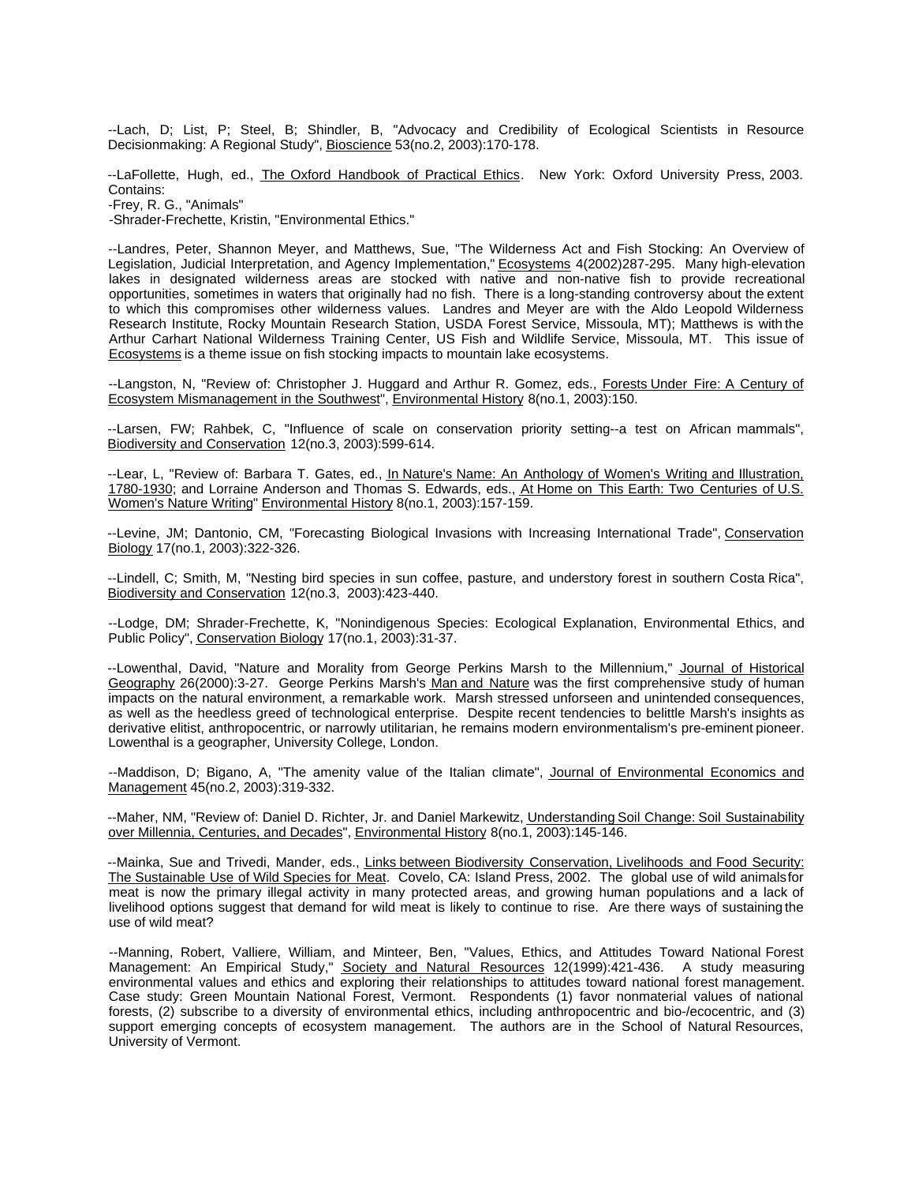--Lach, D; List, P; Steel, B; Shindler, B, "Advocacy and Credibility of Ecological Scientists in Resource Decisionmaking: A Regional Study", Bioscience 53(no.2, 2003):170-178.

--LaFollette, Hugh, ed., The Oxford Handbook of Practical Ethics. New York: Oxford University Press, 2003. Contains:

-Frey, R. G., "Animals"

-Shrader-Frechette, Kristin, "Environmental Ethics."

--Landres, Peter, Shannon Meyer, and Matthews, Sue, "The Wilderness Act and Fish Stocking: An Overview of Legislation, Judicial Interpretation, and Agency Implementation," Ecosystems 4(2002)287-295. Many high-elevation lakes in designated wilderness areas are stocked with native and non-native fish to provide recreational opportunities, sometimes in waters that originally had no fish. There is a long-standing controversy about the extent to which this compromises other wilderness values. Landres and Meyer are with the Aldo Leopold Wilderness Research Institute, Rocky Mountain Research Station, USDA Forest Service, Missoula, MT); Matthews is with the Arthur Carhart National Wilderness Training Center, US Fish and Wildlife Service, Missoula, MT. This issue of Ecosystems is a theme issue on fish stocking impacts to mountain lake ecosystems.

--Langston, N, "Review of: Christopher J. Huggard and Arthur R. Gomez, eds., Forests Under Fire: A Century of Ecosystem Mismanagement in the Southwest", Environmental History 8(no.1, 2003):150.

--Larsen, FW; Rahbek, C, "Influence of scale on conservation priority setting--a test on African mammals", Biodiversity and Conservation 12(no.3, 2003):599-614.

--Lear, L, "Review of: Barbara T. Gates, ed., In Nature's Name: An Anthology of Women's Writing and Illustration, 1780-1930; and Lorraine Anderson and Thomas S. Edwards, eds., At Home on This Earth: Two Centuries of U.S. Women's Nature Writing" Environmental History 8(no.1, 2003):157-159.

--Levine, JM; Dantonio, CM, "Forecasting Biological Invasions with Increasing International Trade", Conservation Biology 17(no.1, 2003):322-326.

--Lindell, C; Smith, M, "Nesting bird species in sun coffee, pasture, and understory forest in southern Costa Rica", Biodiversity and Conservation 12(no.3, 2003):423-440.

--Lodge, DM; Shrader-Frechette, K, "Nonindigenous Species: Ecological Explanation, Environmental Ethics, and Public Policy", Conservation Biology 17(no.1, 2003):31-37.

--Lowenthal, David, "Nature and Morality from George Perkins Marsh to the Millennium," Journal of Historical Geography 26(2000):3-27. George Perkins Marsh's Man and Nature was the first comprehensive study of human impacts on the natural environment, a remarkable work. Marsh stressed unforseen and unintended consequences, as well as the heedless greed of technological enterprise. Despite recent tendencies to belittle Marsh's insights as derivative elitist, anthropocentric, or narrowly utilitarian, he remains modern environmentalism's pre-eminent pioneer. Lowenthal is a geographer, University College, London.

--Maddison, D; Bigano, A, "The amenity value of the Italian climate", Journal of Environmental Economics and Management 45(no.2, 2003):319-332.

--Maher, NM, "Review of: Daniel D. Richter, Jr. and Daniel Markewitz, Understanding Soil Change: Soil Sustainability over Millennia, Centuries, and Decades", Environmental History 8(no.1, 2003):145-146.

--Mainka, Sue and Trivedi, Mander, eds., Links between Biodiversity Conservation, Livelihoods and Food Security: The Sustainable Use of Wild Species for Meat. Covelo, CA: Island Press, 2002. The global use of wild animals for meat is now the primary illegal activity in many protected areas, and growing human populations and a lack of livelihood options suggest that demand for wild meat is likely to continue to rise. Are there ways of sustaining the use of wild meat?

--Manning, Robert, Valliere, William, and Minteer, Ben, "Values, Ethics, and Attitudes Toward National Forest Management: An Empirical Study," Society and Natural Resources 12(1999):421-436. A study measuring environmental values and ethics and exploring their relationships to attitudes toward national forest management. Case study: Green Mountain National Forest, Vermont. Respondents (1) favor nonmaterial values of national forests, (2) subscribe to a diversity of environmental ethics, including anthropocentric and bio-/ecocentric, and (3) support emerging concepts of ecosystem management. The authors are in the School of Natural Resources, University of Vermont.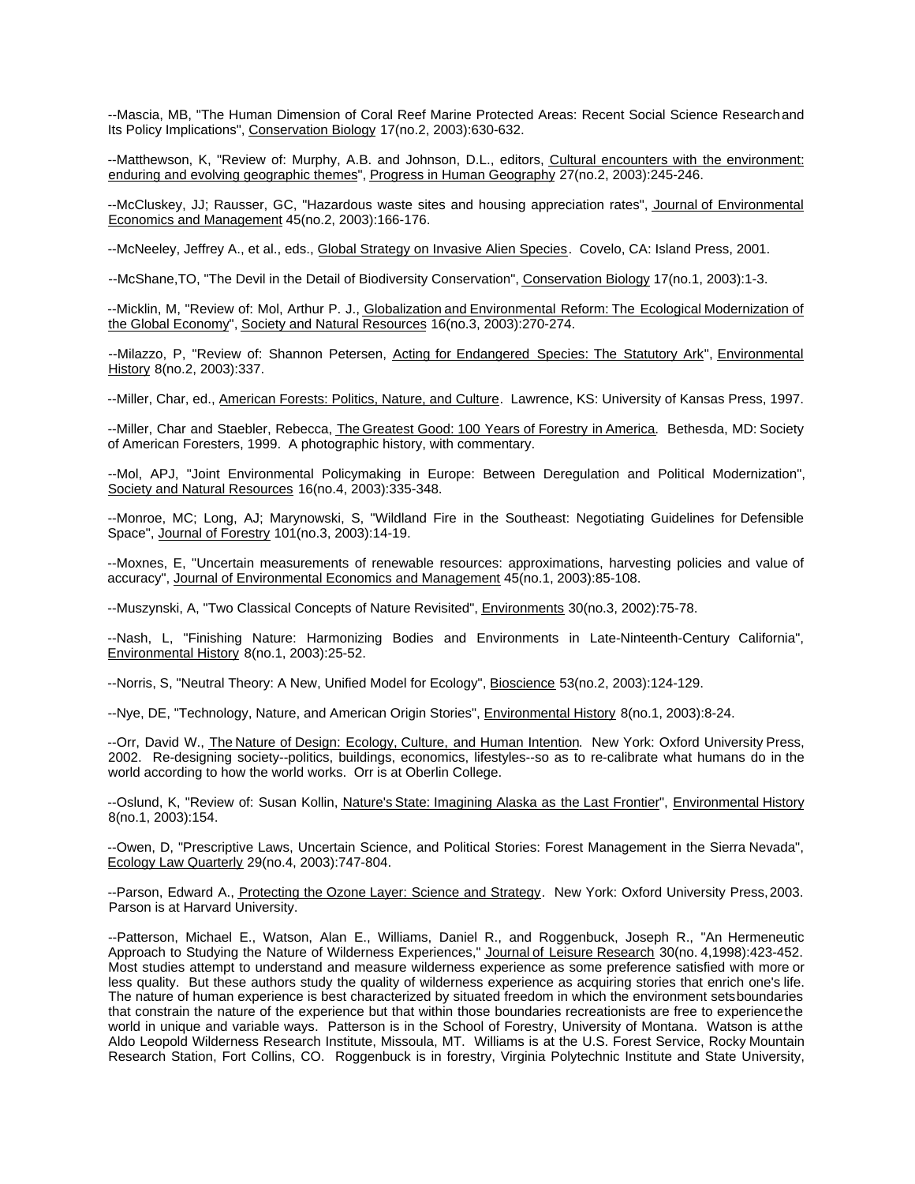--Mascia, MB, "The Human Dimension of Coral Reef Marine Protected Areas: Recent Social Science Research and Its Policy Implications", Conservation Biology 17(no.2, 2003):630-632.

--Matthewson, K, "Review of: Murphy, A.B. and Johnson, D.L., editors, Cultural encounters with the environment: enduring and evolving geographic themes", Progress in Human Geography 27(no.2, 2003):245-246.

--McCluskey, JJ; Rausser, GC, "Hazardous waste sites and housing appreciation rates", Journal of Environmental Economics and Management 45(no.2, 2003):166-176.

--McNeeley, Jeffrey A., et al., eds., Global Strategy on Invasive Alien Species. Covelo, CA: Island Press, 2001.

--McShane,TO, "The Devil in the Detail of Biodiversity Conservation", Conservation Biology 17(no.1, 2003):1-3.

--Micklin, M, "Review of: Mol, Arthur P. J., Globalization and Environmental Reform: The Ecological Modernization of the Global Economy", Society and Natural Resources 16(no.3, 2003):270-274.

--Milazzo, P, "Review of: Shannon Petersen, Acting for Endangered Species: The Statutory Ark", Environmental History 8(no.2, 2003):337.

--Miller, Char, ed., American Forests: Politics, Nature, and Culture. Lawrence, KS: University of Kansas Press, 1997.

--Miller, Char and Staebler, Rebecca, The Greatest Good: 100 Years of Forestry in America. Bethesda, MD: Society of American Foresters, 1999. A photographic history, with commentary.

--Mol, APJ, "Joint Environmental Policymaking in Europe: Between Deregulation and Political Modernization", Society and Natural Resources 16(no.4, 2003):335-348.

--Monroe, MC; Long, AJ; Marynowski, S, "Wildland Fire in the Southeast: Negotiating Guidelines for Defensible Space", Journal of Forestry 101(no.3, 2003):14-19.

--Moxnes, E, "Uncertain measurements of renewable resources: approximations, harvesting policies and value of accuracy", Journal of Environmental Economics and Management 45(no.1, 2003):85-108.

--Muszynski, A, "Two Classical Concepts of Nature Revisited", Environments 30(no.3, 2002):75-78.

--Nash, L, "Finishing Nature: Harmonizing Bodies and Environments in Late-Ninteenth-Century California", Environmental History 8(no.1, 2003):25-52.

--Norris, S, "Neutral Theory: A New, Unified Model for Ecology", Bioscience 53(no.2, 2003):124-129.

--Nye, DE, "Technology, Nature, and American Origin Stories", Environmental History 8(no.1, 2003):8-24.

--Orr, David W., *The Nature of Design: Ecology, Culture, and Human Intention*. New York: Oxford University Press, 2002. Re-designing society--politics, buildings, economics, lifestyles--so as to re-calibrate what humans do in the world according to how the world works. Orr is at Oberlin College.

--Oslund, K, "Review of: Susan Kollin, Nature's State: Imagining Alaska as the Last Frontier", Environmental History 8(no.1, 2003):154.

--Owen, D, "Prescriptive Laws, Uncertain Science, and Political Stories: Forest Management in the Sierra Nevada", Ecology Law Quarterly 29(no.4, 2003):747-804.

--Parson, Edward A., Protecting the Ozone Layer: Science and Strategy. New York: Oxford University Press, 2003. Parson is at Harvard University.

--Patterson, Michael E., Watson, Alan E., Williams, Daniel R., and Roggenbuck, Joseph R., "An Hermeneutic Approach to Studying the Nature of Wilderness Experiences," Journal of Leisure Research 30(no. 4,1998):423-452. Most studies attempt to understand and measure wilderness experience as some preference satisfied with more or less quality. But these authors study the quality of wilderness experience as acquiring stories that enrich one's life. The nature of human experience is best characterized by situated freedom in which the environment sets boundaries that constrain the nature of the experience but that within those boundaries recreationists are free to experience the world in unique and variable ways. Patterson is in the School of Forestry, University of Montana. Watson is at the Aldo Leopold Wilderness Research Institute, Missoula, MT. Williams is at the U.S. Forest Service, Rocky Mountain Research Station, Fort Collins, CO. Roggenbuck is in forestry, Virginia Polytechnic Institute and State University,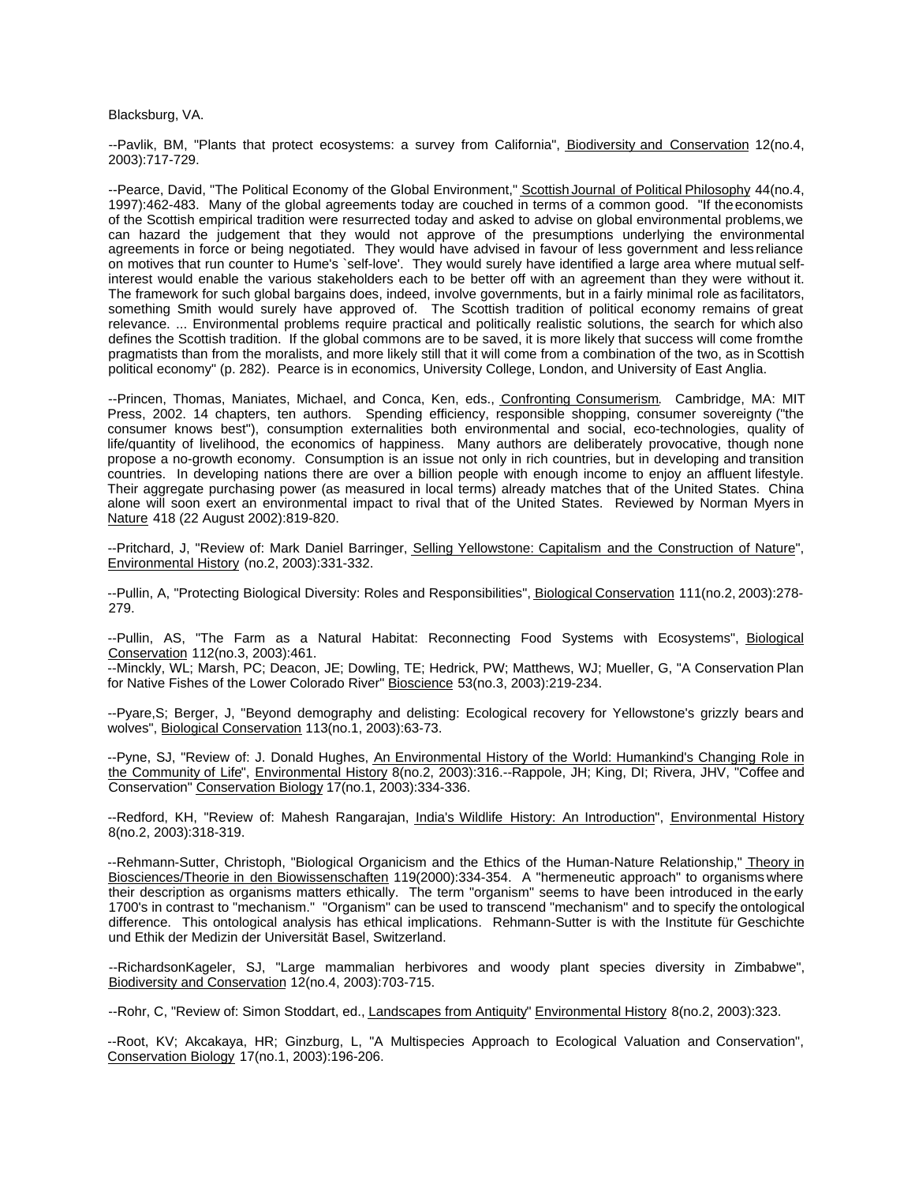Blacksburg, VA.

--Pavlik, BM, "Plants that protect ecosystems: a survey from California", Biodiversity and Conservation 12(no.4, 2003):717-729.

--Pearce, David, "The Political Economy of the Global Environment," Scottish Journal of Political Philosophy 44(no.4, 1997):462-483. Many of the global agreements today are couched in terms of a common good. "If the economists of the Scottish empirical tradition were resurrected today and asked to advise on global environmental problems, we can hazard the judgement that they would not approve of the presumptions underlying the environmental agreements in force or being negotiated. They would have advised in favour of less government and less reliance on motives that run counter to Hume's `self-love'. They would surely have identified a large area where mutual selfinterest would enable the various stakeholders each to be better off with an agreement than they were without it. The framework for such global bargains does, indeed, involve governments, but in a fairly minimal role as facilitators, something Smith would surely have approved of. The Scottish tradition of political economy remains of great relevance. ... Environmental problems require practical and politically realistic solutions, the search for which also defines the Scottish tradition. If the global commons are to be saved, it is more likely that success will come from the pragmatists than from the moralists, and more likely still that it will come from a combination of the two, as in Scottish political economy" (p. 282). Pearce is in economics, University College, London, and University of East Anglia.

--Princen, Thomas, Maniates, Michael, and Conca, Ken, eds., Confronting Consumerism. Cambridge, MA: MIT Press, 2002. 14 chapters, ten authors. Spending efficiency, responsible shopping, consumer sovereignty ("the consumer knows best"), consumption externalities both environmental and social, eco-technologies, quality of life/quantity of livelihood, the economics of happiness. Many authors are deliberately provocative, though none propose a no-growth economy. Consumption is an issue not only in rich countries, but in developing and transition countries. In developing nations there are over a billion people with enough income to enjoy an affluent lifestyle. Their aggregate purchasing power (as measured in local terms) already matches that of the United States. China alone will soon exert an environmental impact to rival that of the United States. Reviewed by Norman Myers in Nature 418 (22 August 2002):819-820.

--Pritchard, J, "Review of: Mark Daniel Barringer, Selling Yellowstone: Capitalism and the Construction of Nature", Environmental History (no.2, 2003):331-332.

--Pullin, A, "Protecting Biological Diversity: Roles and Responsibilities", Biological Conservation 111(no.2, 2003):278-279.

--Pullin, AS, "The Farm as a Natural Habitat: Reconnecting Food Systems with Ecosystems", Biological Conservation 112(no.3, 2003):461.

--Minckly, WL; Marsh, PC; Deacon, JE; Dowling, TE; Hedrick, PW; Matthews, WJ; Mueller, G, "A Conservation Plan for Native Fishes of the Lower Colorado River" Bioscience 53(no.3, 2003):219-234.

--Pyare,S; Berger, J, "Beyond demography and delisting: Ecological recovery for Yellowstone's grizzly bears and wolves", Biological Conservation 113(no.1, 2003):63-73.

--Pyne, SJ, "Review of: J. Donald Hughes, An Environmental History of the World: Humankind's Changing Role in the Community of Life", Environmental History 8(no.2, 2003):316.--Rappole, JH; King, DI; Rivera, JHV, "Coffee and Conservation" Conservation Biology 17(no.1, 2003):334-336.

--Redford, KH, "Review of: Mahesh Rangarajan, India's Wildlife History: An Introduction", Environmental History 8(no.2, 2003):318-319.

--Rehmann-Sutter, Christoph, "Biological Organicism and the Ethics of the Human-Nature Relationship," Theory in Biosciences/Theorie in den Biowissenschaften 119(2000):334-354. A "hermeneutic approach" to organisms where their description as organisms matters ethically. The term "organism" seems to have been introduced in the early 1700's in contrast to "mechanism." "Organism" can be used to transcend "mechanism" and to specify the ontological difference. This ontological analysis has ethical implications. Rehmann-Sutter is with the Institute für Geschichte und Ethik der Medizin der Universität Basel, Switzerland.

--RichardsonKageler, SJ, "Large mammalian herbivores and woody plant species diversity in Zimbabwe", Biodiversity and Conservation 12(no.4, 2003):703-715.

--Rohr, C, "Review of: Simon Stoddart, ed., Landscapes from Antiquity" Environmental History 8(no.2, 2003):323.

--Root, KV; Akcakaya, HR; Ginzburg, L, "A Multispecies Approach to Ecological Valuation and Conservation", Conservation Biology 17(no.1, 2003):196-206.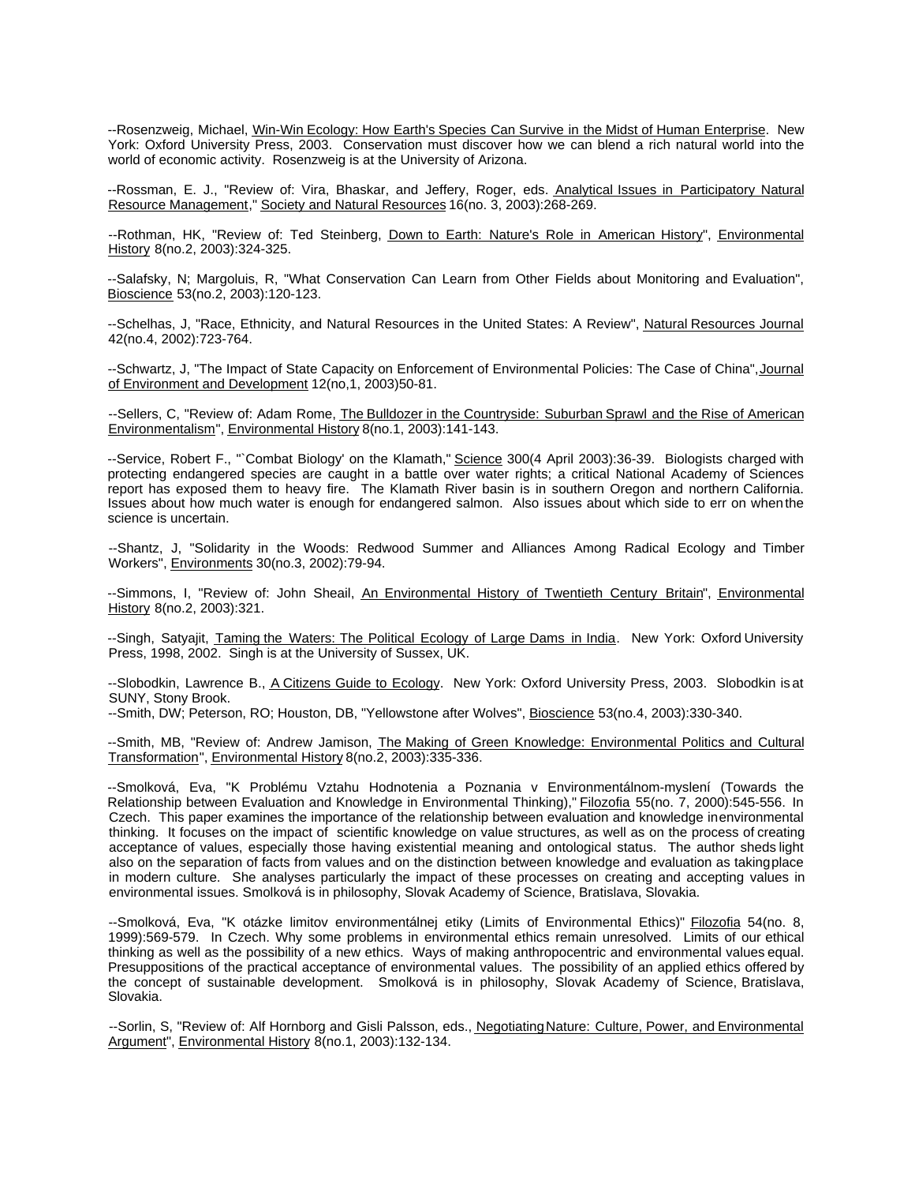--Rosenzweig, Michael, Win-Win Ecology: How Earth's Species Can Survive in the Midst of Human Enterprise. New York: Oxford University Press, 2003. Conservation must discover how we can blend a rich natural world into the world of economic activity. Rosenzweig is at the University of Arizona.

--Rossman, E. J., "Review of: Vira, Bhaskar, and Jeffery, Roger, eds. Analytical Issues in Participatory Natural Resource Management," Society and Natural Resources 16(no. 3, 2003):268-269.

--Rothman, HK, "Review of: Ted Steinberg, Down to Earth: Nature's Role in American History", Environmental History 8(no.2, 2003):324-325.

--Salafsky, N; Margoluis, R, "What Conservation Can Learn from Other Fields about Monitoring and Evaluation", Bioscience 53(no.2, 2003):120-123.

--Schelhas, J, "Race, Ethnicity, and Natural Resources in the United States: A Review", Natural Resources Journal 42(no.4, 2002):723-764.

--Schwartz, J, "The Impact of State Capacity on Enforcement of Environmental Policies: The Case of China", Journal of Environment and Development 12(no,1, 2003)50-81.

--Sellers, C, "Review of: Adam Rome, The Bulldozer in the Countryside: Suburban Sprawl and the Rise of American Environmentalism", Environmental History 8(no.1, 2003):141-143.

--Service, Robert F., "`Combat Biology' on the Klamath," Science 300(4 April 2003):36-39. Biologists charged with protecting endangered species are caught in a battle over water rights; a critical National Academy of Sciences report has exposed them to heavy fire. The Klamath River basin is in southern Oregon and northern California. Issues about how much water is enough for endangered salmon. Also issues about which side to err on when the science is uncertain.

--Shantz, J, "Solidarity in the Woods: Redwood Summer and Alliances Among Radical Ecology and Timber Workers", Environments 30(no.3, 2002):79-94.

--Simmons, I, "Review of: John Sheail, *An Environmental History of Twentieth Century Britain"*, Environmental History 8(no.2, 2003):321.

--Singh, Satyajit, Taming the Waters: The Political Ecology of Large Dams in India. New York: Oxford University Press, 1998, 2002. Singh is at the University of Sussex, UK.

--Slobodkin, Lawrence B., A Citizens Guide to Ecology. New York: Oxford University Press, 2003. Slobodkin is at SUNY, Stony Brook.

--Smith, DW; Peterson, RO; Houston, DB, "Yellowstone after Wolves", Bioscience 53(no.4, 2003):330-340.

--Smith, MB, "Review of: Andrew Jamison, The Making of Green Knowledge: Environmental Politics and Cultural Transformation", Environmental History 8(no.2, 2003):335-336.

--Smolková, Eva, "K Problému Vztahu Hodnotenia a Poznania v Environmentálnom-myslení (Towards the Relationship between Evaluation and Knowledge in Environmental Thinking)," Filozofia 55(no. 7, 2000):545-556. In Czech. This paper examines the importance of the relationship between evaluation and knowledge in environmental thinking. It focuses on the impact of scientific knowledge on value structures, as well as on the process of creating acceptance of values, especially those having existential meaning and ontological status. The author sheds light also on the separation of facts from values and on the distinction between knowledge and evaluation as taking place in modern culture. She analyses particularly the impact of these processes on creating and accepting values in environmental issues. Smolková is in philosophy, Slovak Academy of Science, Bratislava, Slovakia.

--Smolková, Eva, "K otázke limitov environmentálnej etiky (Limits of Environmental Ethics)" Filozofia 54(no. 8, 1999):569-579. In Czech. Why some problems in environmental ethics remain unresolved. Limits of our ethical thinking as well as the possibility of a new ethics. Ways of making anthropocentric and environmental values equal. Presuppositions of the practical acceptance of environmental values. The possibility of an applied ethics offered by the concept of sustainable development. Smolková is in philosophy, Slovak Academy of Science, Bratislava, Slovakia.

--Sorlin, S, "Review of: Alf Hornborg and Gisli Palsson, eds., Negotiating Nature: Culture, Power, and Environmental Argument", Environmental History 8(no.1, 2003):132-134.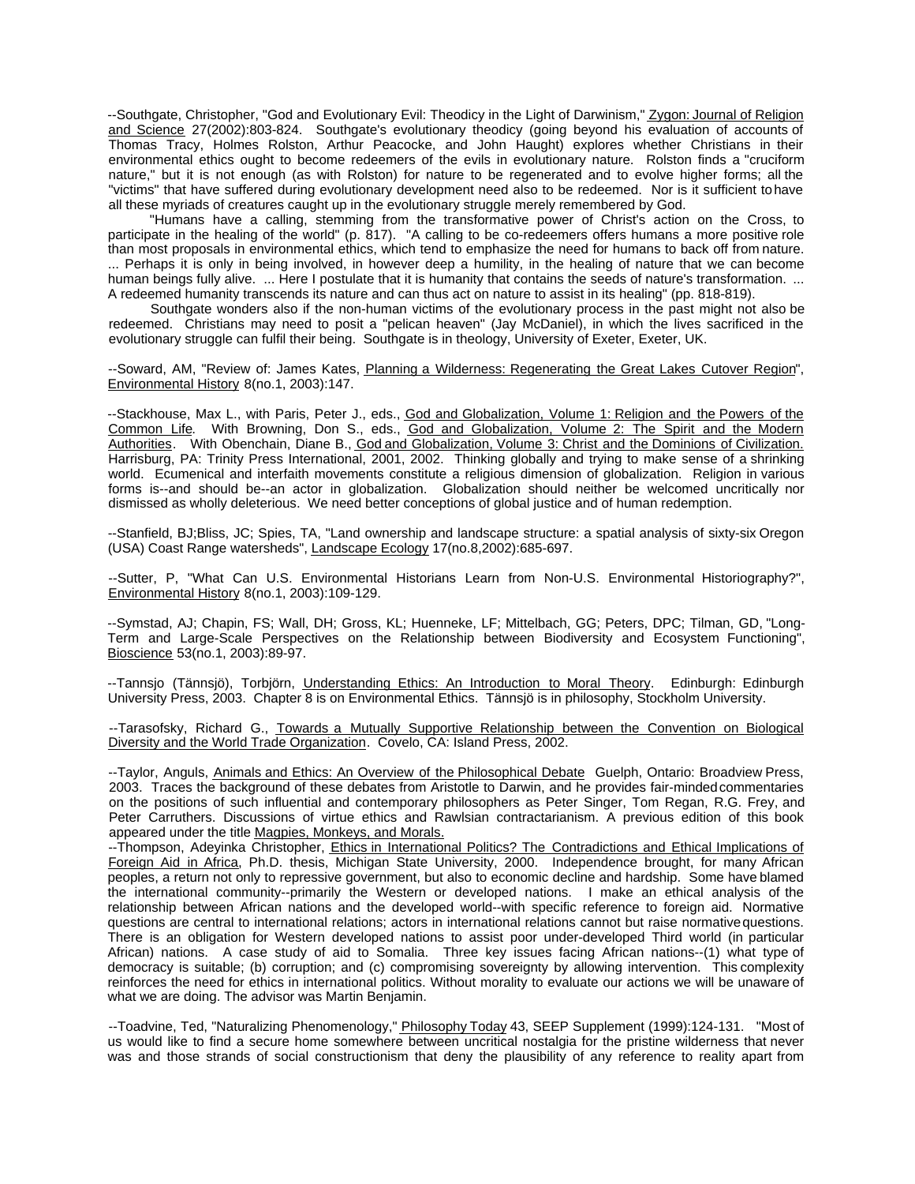--Southgate, Christopher, "God and Evolutionary Evil: Theodicy in the Light of Darwinism," Zygon: Journal of Religion and Science 27(2002):803-824. Southgate's evolutionary theodicy (going beyond his evaluation of accounts of Thomas Tracy, Holmes Rolston, Arthur Peacocke, and John Haught) explores whether Christians in their environmental ethics ought to become redeemers of the evils in evolutionary nature. Rolston finds a "cruciform nature," but it is not enough (as with Rolston) for nature to be regenerated and to evolve higher forms; all the "victims" that have suffered during evolutionary development need also to be redeemed. Nor is it sufficient to have all these myriads of creatures caught up in the evolutionary struggle merely remembered by God.

"Humans have a calling, stemming from the transformative power of Christ's action on the Cross, to participate in the healing of the world" (p. 817). "A calling to be co-redeemers offers humans a more positive role than most proposals in environmental ethics, which tend to emphasize the need for humans to back off from nature. ... Perhaps it is only in being involved, in however deep a humility, in the healing of nature that we can become human beings fully alive. ... Here I postulate that it is humanity that contains the seeds of nature's transformation. ... A redeemed humanity transcends its nature and can thus act on nature to assist in its healing" (pp. 818-819).

Southgate wonders also if the non-human victims of the evolutionary process in the past might not also be redeemed. Christians may need to posit a "pelican heaven" (Jay McDaniel), in which the lives sacrificed in the evolutionary struggle can fulfil their being. Southgate is in theology, University of Exeter, Exeter, UK.

--Soward, AM, "Review of: James Kates, Planning a Wilderness: Regenerating the Great Lakes Cutover Region", Environmental History 8(no.1, 2003):147.

--Stackhouse, Max L., with Paris, Peter J., eds., God and Globalization, Volume 1: Religion and the Powers of the Common Life. With Browning, Don S., eds., God and Globalization, Volume 2: The Spirit and the Modern Authorities. With Obenchain, Diane B., God and Globalization, Volume 3: Christ and the Dominions of Civilization. Harrisburg, PA: Trinity Press International, 2001, 2002. Thinking globally and trying to make sense of a shrinking world. Ecumenical and interfaith movements constitute a religious dimension of globalization. Religion in various forms is--and should be--an actor in globalization. Globalization should neither be welcomed uncritically nor dismissed as wholly deleterious. We need better conceptions of global justice and of human redemption.

--Stanfield, BJ;Bliss, JC; Spies, TA, "Land ownership and landscape structure: a spatial analysis of sixty-six Oregon (USA) Coast Range watersheds", Landscape Ecology 17(no.8,2002):685-697.

--Sutter, P, "What Can U.S. Environmental Historians Learn from Non-U.S. Environmental Historiography?", Environmental History 8(no.1, 2003):109-129.

--Symstad, AJ; Chapin, FS; Wall, DH; Gross, KL; Huenneke, LF; Mittelbach, GG; Peters, DPC; Tilman, GD, "Long-Term and Large-Scale Perspectives on the Relationship between Biodiversity and Ecosystem Functioning", Bioscience 53(no.1, 2003):89-97.

--Tannsjo (Tännsjö), Torbjörn, Understanding Ethics: An Introduction to Moral Theory. Edinburgh: Edinburgh University Press, 2003. Chapter 8 is on Environmental Ethics. Tännsjö is in philosophy, Stockholm University.

--Tarasofsky, Richard G., Towards a Mutually Supportive Relationship between the Convention on Biological Diversity and the World Trade Organization. Covelo, CA: Island Press, 2002.

--Taylor, Anguls, Animals and Ethics: An Overview of the Philosophical Debate Guelph, Ontario: Broadview Press, 2003. Traces the background of these debates from Aristotle to Darwin, and he provides fair-minded commentaries on the positions of such influential and contemporary philosophers as Peter Singer, Tom Regan, R.G. Frey, and Peter Carruthers. Discussions of virtue ethics and Rawlsian contractarianism. A previous edition of this book appeared under the title Magpies, Monkeys, and Morals.

--Thompson, Adeyinka Christopher, Ethics in International Politics? The Contradictions and Ethical Implications of Foreign Aid in Africa, Ph.D. thesis, Michigan State University, 2000. Independence brought, for many African peoples, a return not only to repressive government, but also to economic decline and hardship. Some have blamed the international community--primarily the Western or developed nations. I make an ethical analysis of the relationship between African nations and the developed world--with specific reference to foreign aid. Normative questions are central to international relations; actors in international relations cannot but raise normative questions. There is an obligation for Western developed nations to assist poor under-developed Third world (in particular African) nations. A case study of aid to Somalia. Three key issues facing African nations--(1) what type of democracy is suitable; (b) corruption; and (c) compromising sovereignty by allowing intervention. This complexity reinforces the need for ethics in international politics. Without morality to evaluate our actions we will be unaware of what we are doing. The advisor was Martin Benjamin.

--Toadvine, Ted, "Naturalizing Phenomenology," **Philosophy Today 43, SEEP Supplement (1999**):124-131. "Most of us would like to find a secure home somewhere between uncritical nostalgia for the pristine wilderness that never was and those strands of social constructionism that deny the plausibility of any reference to reality apart from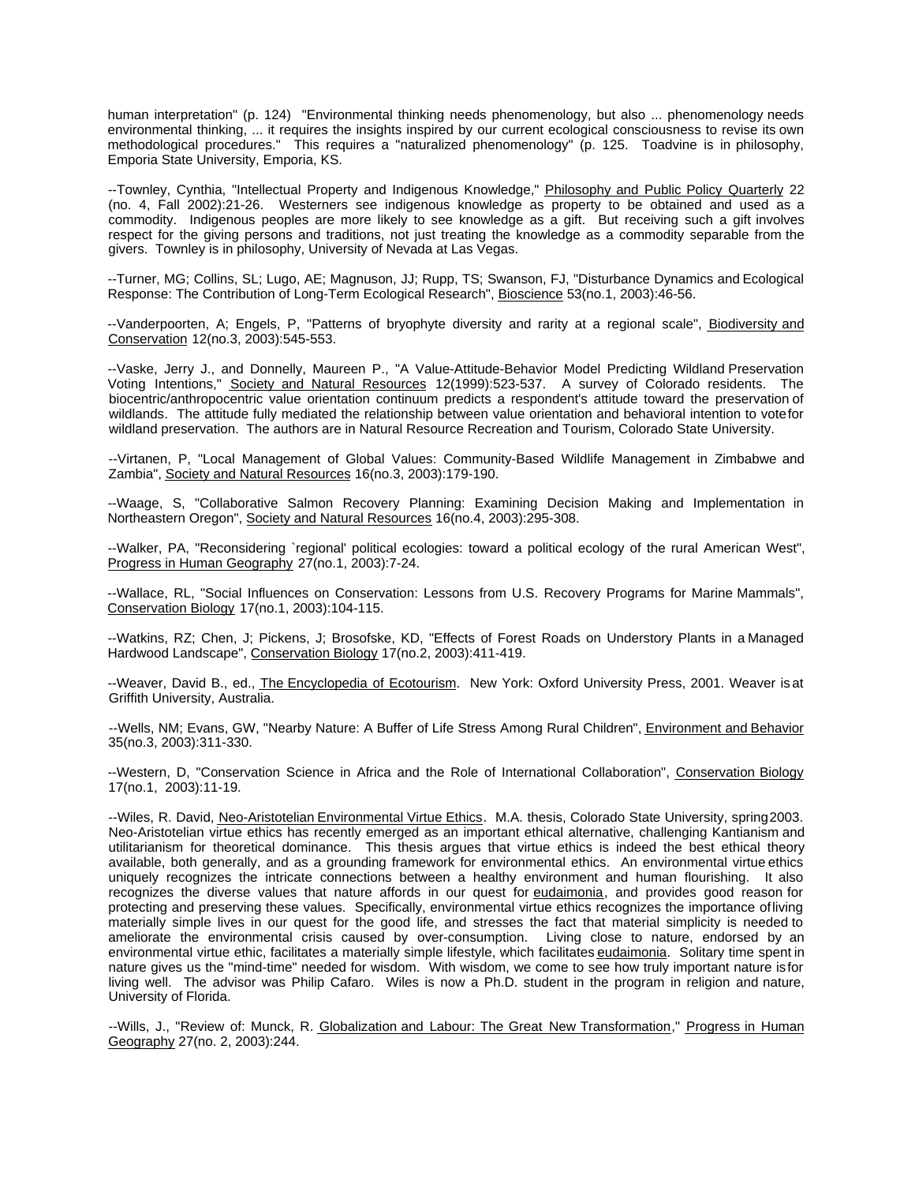human interpretation" (p. 124) "Environmental thinking needs phenomenology, but also ... phenomenology needs environmental thinking, ... it requires the insights inspired by our current ecological consciousness to revise its own methodological procedures." This requires a "naturalized phenomenology" (p. 125. Toadvine is in philosophy, Emporia State University, Emporia, KS.

--Townley, Cynthia, "Intellectual Property and Indigenous Knowledge," Philosophy and Public Policy Quarterly 22 (no. 4, Fall 2002):21-26. Westerners see indigenous knowledge as property to be obtained and used as a commodity. Indigenous peoples are more likely to see knowledge as a gift. But receiving such a gift involves respect for the giving persons and traditions, not just treating the knowledge as a commodity separable from the givers. Townley is in philosophy, University of Nevada at Las Vegas.

--Turner, MG; Collins, SL; Lugo, AE; Magnuson, JJ; Rupp, TS; Swanson, FJ, "Disturbance Dynamics and Ecological Response: The Contribution of Long-Term Ecological Research", Bioscience 53(no.1, 2003):46-56.

--Vanderpoorten, A; Engels, P, "Patterns of bryophyte diversity and rarity at a regional scale", Biodiversity and Conservation 12(no.3, 2003):545-553.

--Vaske, Jerry J., and Donnelly, Maureen P., "A Value-Attitude-Behavior Model Predicting Wildland Preservation Voting Intentions," Society and Natural Resources 12(1999):523-537. A survey of Colorado residents. The biocentric/anthropocentric value orientation continuum predicts a respondent's attitude toward the preservation of wildlands. The attitude fully mediated the relationship between value orientation and behavioral intention to vote for wildland preservation. The authors are in Natural Resource Recreation and Tourism, Colorado State University.

--Virtanen, P, "Local Management of Global Values: Community-Based Wildlife Management in Zimbabwe and Zambia", Society and Natural Resources 16(no.3, 2003):179-190.

--Waage, S, "Collaborative Salmon Recovery Planning: Examining Decision Making and Implementation in Northeastern Oregon", Society and Natural Resources 16(no.4, 2003):295-308.

--Walker, PA, "Reconsidering `regional' political ecologies: toward a political ecology of the rural American West", Progress in Human Geography 27(no.1, 2003):7-24.

--Wallace, RL, "Social Influences on Conservation: Lessons from U.S. Recovery Programs for Marine Mammals", Conservation Biology 17(no.1, 2003):104-115.

--Watkins, RZ; Chen, J; Pickens, J; Brosofske, KD, "Effects of Forest Roads on Understory Plants in a Managed Hardwood Landscape", Conservation Biology 17(no.2, 2003):411-419.

--Weaver, David B., ed., The Encyclopedia of Ecotourism. New York: Oxford University Press, 2001. Weaver is at Griffith University, Australia.

--Wells, NM; Evans, GW, "Nearby Nature: A Buffer of Life Stress Among Rural Children", Environment and Behavior 35(no.3, 2003):311-330.

--Western, D, "Conservation Science in Africa and the Role of International Collaboration", Conservation Biology 17(no.1, 2003):11-19.

--Wiles, R. David, Neo-Aristotelian Environmental Virtue Ethics. M.A. thesis, Colorado State University, spring 2003. Neo-Aristotelian virtue ethics has recently emerged as an important ethical alternative, challenging Kantianism and utilitarianism for theoretical dominance. This thesis argues that virtue ethics is indeed the best ethical theory available, both generally, and as a grounding framework for environmental ethics. An environmental virtue ethics uniquely recognizes the intricate connections between a healthy environment and human flourishing. It also recognizes the diverse values that nature affords in our quest for eudaimonia, and provides good reason for protecting and preserving these values. Specifically, environmental virtue ethics recognizes the importance of living materially simple lives in our quest for the good life, and stresses the fact that material simplicity is needed to ameliorate the environmental crisis caused by over-consumption. Living close to nature, endorsed by an environmental virtue ethic, facilitates a materially simple lifestyle, which facilitates eudaimonia. Solitary time spent in nature gives us the "mind-time" needed for wisdom. With wisdom, we come to see how truly important nature is for living well. The advisor was Philip Cafaro. Wiles is now a Ph.D. student in the program in religion and nature, University of Florida.

--Wills, J., "Review of: Munck, R. Globalization and Labour: The Great New Transformation," Progress in Human Geography 27(no. 2, 2003):244.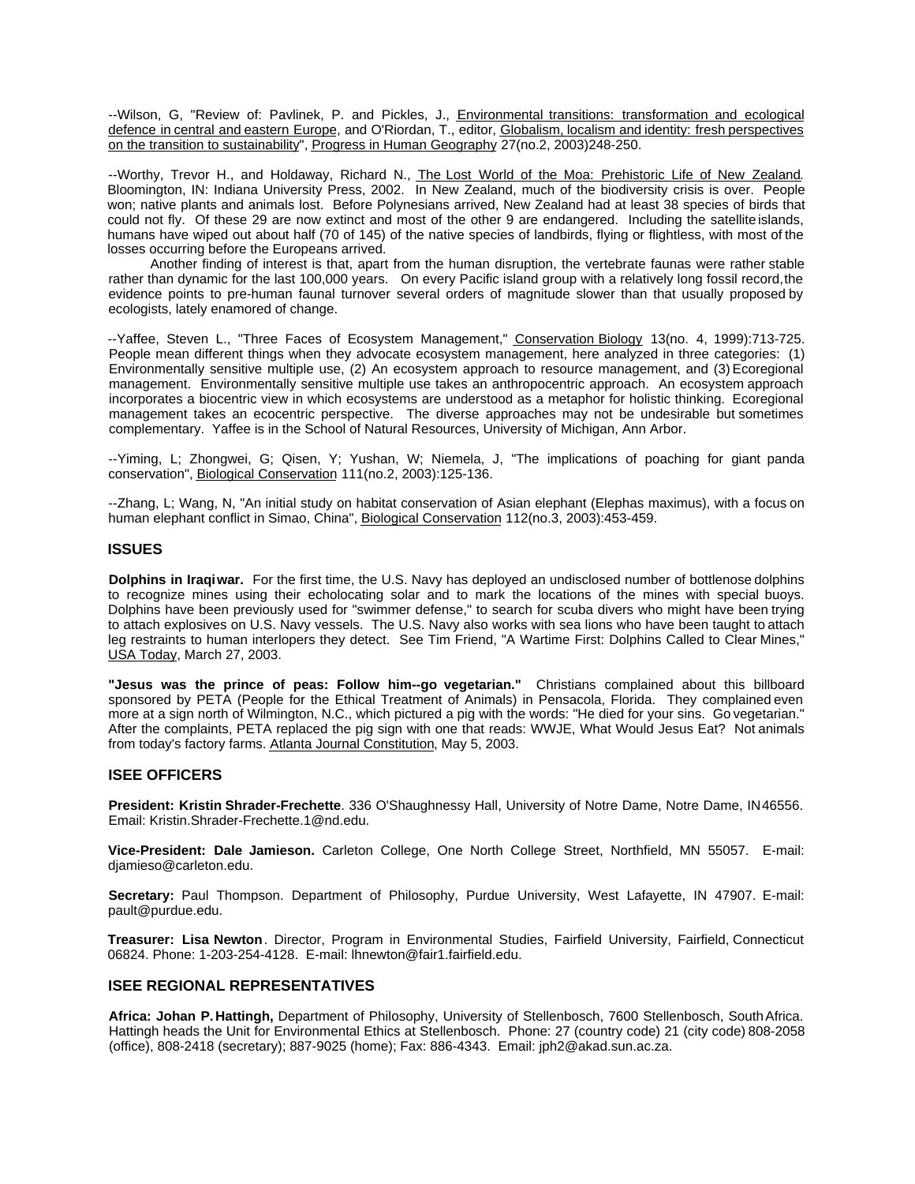--Wilson, G, "Review of: Pavlinek, P. and Pickles, J., Environmental transitions: transformation and ecological defence in central and eastern Europe, and O'Riordan, T., editor, Globalism, localism and identity: fresh perspectives on the transition to sustainability", Progress in Human Geography 27(no.2, 2003)248-250.

--Worthy, Trevor H., and Holdaway, Richard N., The Lost World of the Moa: Prehistoric Life of New Zealand. Bloomington, IN: Indiana University Press, 2002. In New Zealand, much of the biodiversity crisis is over. People won; native plants and animals lost. Before Polynesians arrived, New Zealand had at least 38 species of birds that could not fly. Of these 29 are now extinct and most of the other 9 are endangered. Including the satellite islands, humans have wiped out about half (70 of 145) of the native species of landbirds, flying or flightless, with most of the losses occurring before the Europeans arrived.

Another finding of interest is that, apart from the human disruption, the vertebrate faunas were rather stable rather than dynamic for the last 100,000 years. On every Pacific island group with a relatively long fossil record, the evidence points to pre-human faunal turnover several orders of magnitude slower than that usually proposed by ecologists, lately enamored of change.

--Yaffee, Steven L., "Three Faces of Ecosystem Management," Conservation Biology 13(no. 4, 1999):713-725. People mean different things when they advocate ecosystem management, here analyzed in three categories: (1) Environmentally sensitive multiple use, (2) An ecosystem approach to resource management, and (3) Ecoregional management. Environmentally sensitive multiple use takes an anthropocentric approach. An ecosystem approach incorporates a biocentric view in which ecosystems are understood as a metaphor for holistic thinking. Ecoregional management takes an ecocentric perspective. The diverse approaches may not be undesirable but sometimes complementary. Yaffee is in the School of Natural Resources, University of Michigan, Ann Arbor.

--Yiming, L; Zhongwei, G; Qisen, Y; Yushan, W; Niemela, J, "The implications of poaching for giant panda conservation", Biological Conservation 111(no.2, 2003):125-136.

--Zhang, L; Wang, N, "An initial study on habitat conservation of Asian elephant (Elephas maximus), with a focus on human elephant conflict in Simao, China", Biological Conservation 112(no.3, 2003):453-459.

#### **ISSUES**

**Dolphins in Iraqi war.** For the first time, the U.S. Navy has deployed an undisclosed number of bottlenose dolphins to recognize mines using their echolocating solar and to mark the locations of the mines with special buoys. Dolphins have been previously used for "swimmer defense," to search for scuba divers who might have been trying to attach explosives on U.S. Navy vessels. The U.S. Navy also works with sea lions who have been taught to attach leg restraints to human interlopers they detect. See Tim Friend, "A Wartime First: Dolphins Called to Clear Mines," USA Today, March 27, 2003.

**"Jesus was the prince of peas: Follow him--go vegetarian."** Christians complained about this billboard sponsored by PETA (People for the Ethical Treatment of Animals) in Pensacola, Florida. They complained even more at a sign north of Wilmington, N.C., which pictured a pig with the words: "He died for your sins. Go vegetarian." After the complaints, PETA replaced the pig sign with one that reads: WWJE, What Would Jesus Eat? Not animals from today's factory farms. Atlanta Journal Constitution, May 5, 2003.

#### **ISEE OFFICERS**

**President: Kristin Shrader-Frechette**. 336 O'Shaughnessy Hall, University of Notre Dame, Notre Dame, IN 46556. Email: Kristin.Shrader-Frechette.1@nd.edu.

**Vice-President: Dale Jamieson.** Carleton College, One North College Street, Northfield, MN 55057. E-mail: djamieso@carleton.edu.

**Secretary:** Paul Thompson. Department of Philosophy, Purdue University, West Lafayette, IN 47907. E-mail: pault@purdue.edu.

**Treasurer: Lisa Newton**. Director, Program in Environmental Studies, Fairfield University, Fairfield, Connecticut 06824. Phone: 1-203-254-4128. E-mail: lhnewton@fair1.fairfield.edu.

#### **ISEE REGIONAL REPRESENTATIVES**

**Africa: Johan P. Hattingh,** Department of Philosophy, University of Stellenbosch, 7600 Stellenbosch, South Africa. Hattingh heads the Unit for Environmental Ethics at Stellenbosch. Phone: 27 (country code) 21 (city code) 808-2058 (office), 808-2418 (secretary); 887-9025 (home); Fax: 886-4343. Email: jph2@akad.sun.ac.za.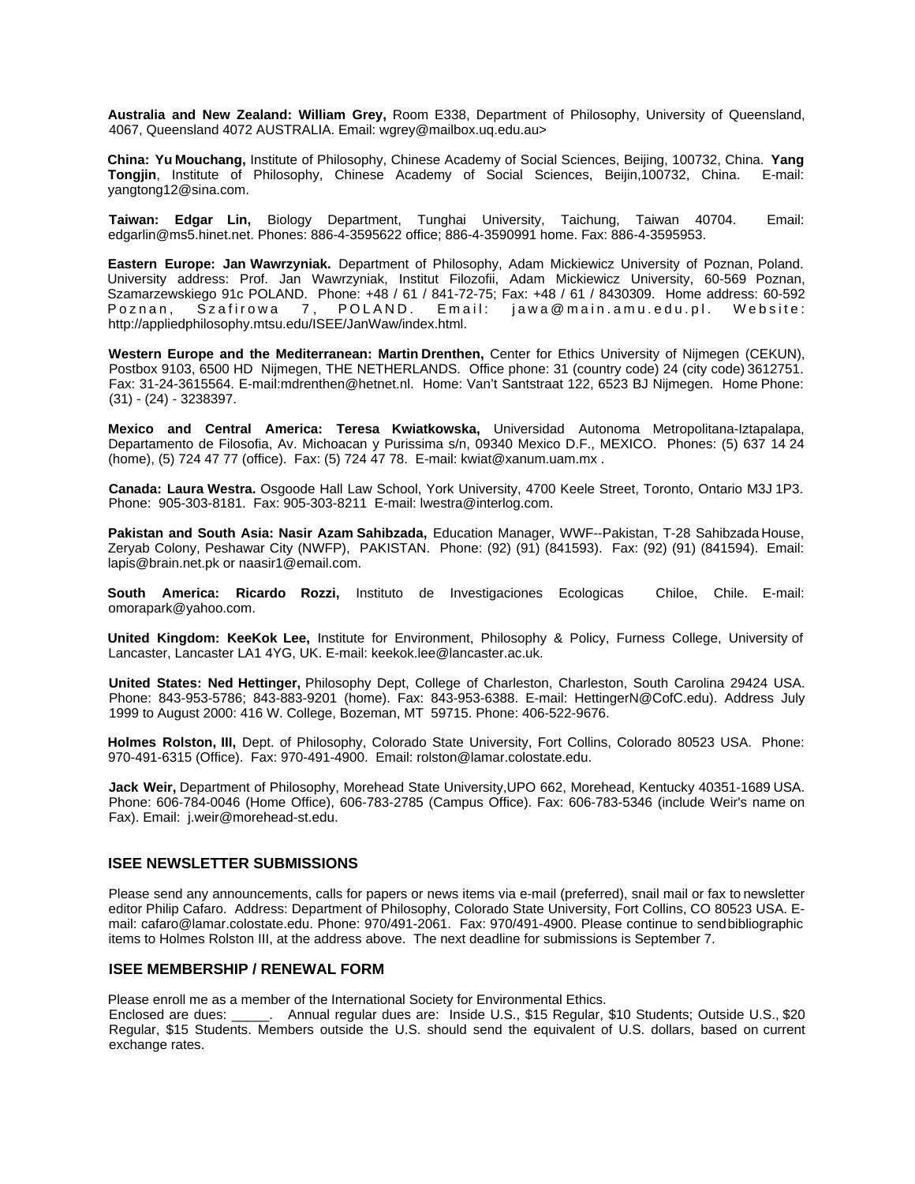**Australia and New Zealand: William Grey,** Room E338, Department of Philosophy, University of Queensland, 4067, Queensland 4072 AUSTRALIA. Email: wgrey@mailbox.uq.edu.au>

**China: Yu Mouchang,** Institute of Philosophy, Chinese Academy of Social Sciences, Beijing, 100732, China. **Yang Tongjin**, Institute of Philosophy, Chinese Academy of Social Sciences, Beijin,100732, China. E-mail: yangtong12@sina.com.

**Taiwan: Edgar Lin,** Biology Department, Tunghai University, Taichung, Taiwan 40704. Email: edgarlin@ms5.hinet.net. Phones: 886-4-3595622 office; 886-4-3590991 home. Fax: 886-4-3595953.

**Eastern Europe: Jan Wawrzyniak.** Department of Philosophy, Adam Mickiewicz University of Poznan, Poland. University address: Prof. Jan Wawrzyniak, Institut Filozofii, Adam Mickiewicz University, 60-569 Poznan, Szamarzewskiego 91c POLAND. Phone: +48 / 61 / 841-72-75; Fax: +48 / 61 / 8430309. Home address: 60-592 Poznan, Szafirowa 7, POLAND. Email: jawa@main.amu.edu.pl. Website: http://appliedphilosophy.mtsu.edu/ISEE/JanWaw/index.html.

**Western Europe and the Mediterranean: Martin Drenthen,** Center for Ethics University of Nijmegen (CEKUN), Postbox 9103, 6500 HD Nijmegen, THE NETHERLANDS. Office phone: 31 (country code) 24 (city code) 3612751. Fax: 31-24-3615564. E-mail:mdrenthen@hetnet.nl. Home: Van't Santstraat 122, 6523 BJ Nijmegen. Home Phone: (31) - (24) - 3238397.

**Mexico and Central America: Teresa Kwiatkowska,** Universidad Autonoma Metropolitana-Iztapalapa, Departamento de Filosofia, Av. Michoacan y Purissima s/n, 09340 Mexico D.F., MEXICO. Phones: (5) 637 14 24 (home), (5) 724 47 77 (office). Fax: (5) 724 47 78. E-mail: kwiat@xanum.uam.mx .

**Canada: Laura Westra.** Osgoode Hall Law School, York University, 4700 Keele Street, Toronto, Ontario M3J 1P3. Phone: 905-303-8181. Fax: 905-303-8211 E-mail: lwestra@interlog.com.

**Pakistan and South Asia: Nasir Azam Sahibzada,** Education Manager, WWF--Pakistan, T-28 Sahibzada House, Zeryab Colony, Peshawar City (NWFP), PAKISTAN. Phone: (92) (91) (841593). Fax: (92) (91) (841594). Email: lapis@brain.net.pk or naasir1@email.com.

**South America: Ricardo Rozzi,** Instituto de Investigaciones Ecologicas Chiloe, Chile. E-mail: omorapark@yahoo.com.

**United Kingdom: KeeKok Lee,** Institute for Environment, Philosophy & Policy, Furness College, University of Lancaster, Lancaster LA1 4YG, UK. E-mail: keekok.lee@lancaster.ac.uk.

**United States: Ned Hettinger,** Philosophy Dept, College of Charleston, Charleston, South Carolina 29424 USA. Phone: 843-953-5786; 843-883-9201 (home). Fax: 843-953-6388. E-mail: HettingerN@CofC.edu). Address July 1999 to August 2000: 416 W. College, Bozeman, MT 59715. Phone: 406-522-9676.

**Holmes Rolston, III,** Dept. of Philosophy, Colorado State University, Fort Collins, Colorado 80523 USA. Phone: 970-491-6315 (Office). Fax: 970-491-4900. Email: rolston@lamar.colostate.edu.

**Jack Weir,** Department of Philosophy, Morehead State University,UPO 662, Morehead, Kentucky 40351-1689 USA. Phone: 606-784-0046 (Home Office), 606-783-2785 (Campus Office). Fax: 606-783-5346 (include Weir's name on Fax). Email: j.weir@morehead-st.edu.

#### **ISEE NEWSLETTER SUBMISSIONS**

Please send any announcements, calls for papers or news items via e-mail (preferred), snail mail or fax to newsletter editor Philip Cafaro. Address: Department of Philosophy, Colorado State University, Fort Collins, CO 80523 USA. Email: cafaro@lamar.colostate.edu. Phone: 970/491-2061. Fax: 970/491-4900. Please continue to send bibliographic items to Holmes Rolston III, at the address above. The next deadline for submissions is September 7.

#### **ISEE MEMBERSHIP / RENEWAL FORM**

Please enroll me as a member of the International Society for Environmental Ethics.

Enclosed are dues: \_\_\_\_\_. Annual regular dues are: Inside U.S., \$15 Regular, \$10 Students; Outside U.S., \$20 Regular, \$15 Students. Members outside the U.S. should send the equivalent of U.S. dollars, based on current exchange rates.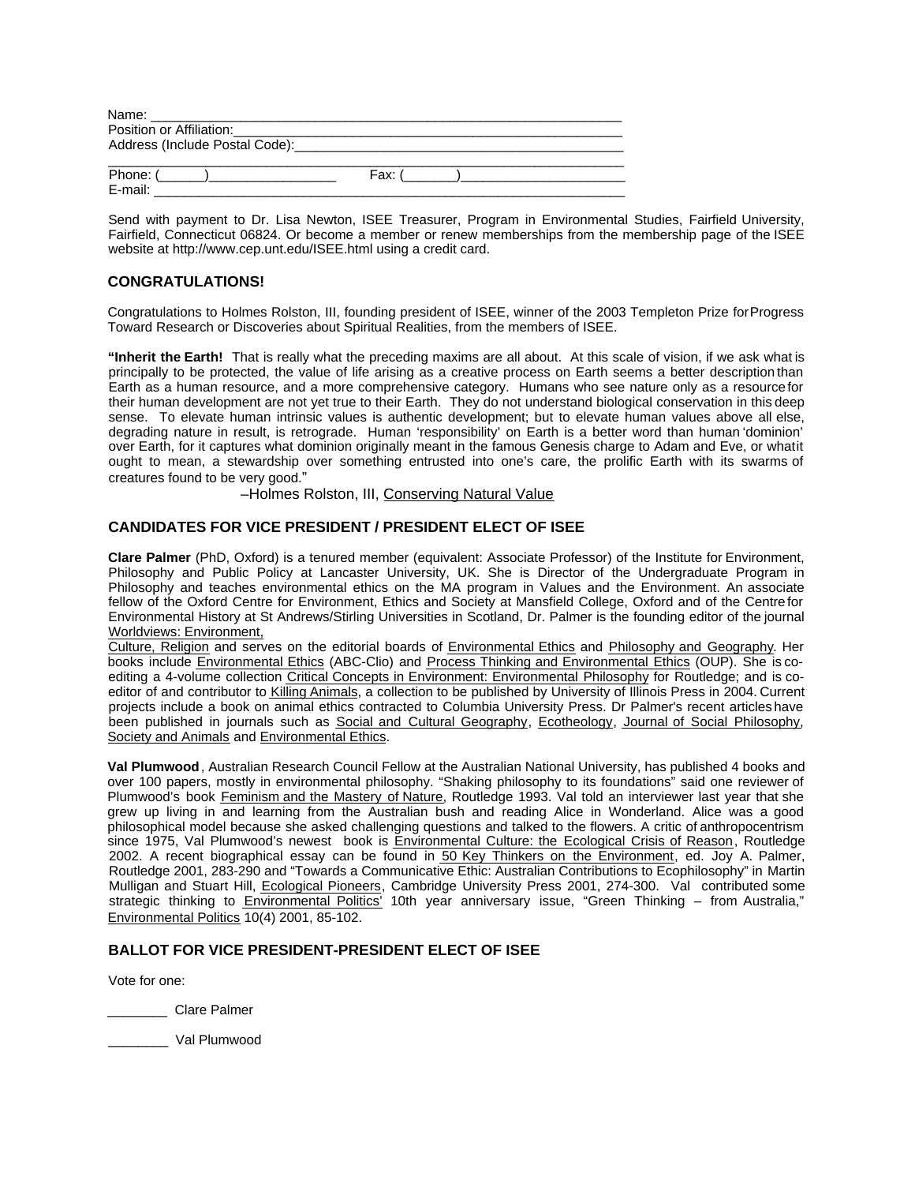| Name:                    |        |
|--------------------------|--------|
| Position or Affiliation: |        |
|                          |        |
|                          |        |
| Phone: (                 | Fax: ( |
| E-mail:                  |        |

Send with payment to Dr. Lisa Newton, ISEE Treasurer, Program in Environmental Studies, Fairfield University, Fairfield, Connecticut 06824. Or become a member or renew memberships from the membership page of the ISEE website at http://www.cep.unt.edu/ISEE.html using a credit card.

## **CONGRATULATIONS!**

Congratulations to Holmes Rolston, III, founding president of ISEE, winner of the 2003 Templeton Prize for Progress Toward Research or Discoveries about Spiritual Realities, from the members of ISEE.

**"Inherit the Earth!** That is really what the preceding maxims are all about. At this scale of vision, if we ask what is principally to be protected, the value of life arising as a creative process on Earth seems a better description than Earth as a human resource, and a more comprehensive category. Humans who see nature only as a resource for their human development are not yet true to their Earth. They do not understand biological conservation in this deep sense. To elevate human intrinsic values is authentic development; but to elevate human values above all else, degrading nature in result, is retrograde. Human 'responsibility' on Earth is a better word than human 'dominion' over Earth, for it captures what dominion originally meant in the famous Genesis charge to Adam and Eve, or what it ought to mean, a stewardship over something entrusted into one's care, the prolific Earth with its swarms of creatures found to be very good."

–Holmes Rolston, III, Conserving Natural Value

#### **CANDIDATES FOR VICE PRESIDENT / PRESIDENT ELECT OF ISEE**

**Clare Palmer** (PhD, Oxford) is a tenured member (equivalent: Associate Professor) of the Institute for Environment, Philosophy and Public Policy at Lancaster University, UK. She is Director of the Undergraduate Program in Philosophy and teaches environmental ethics on the MA program in Values and the Environment. An associate fellow of the Oxford Centre for Environment, Ethics and Society at Mansfield College, Oxford and of the Centre for Environmental History at St Andrews/Stirling Universities in Scotland, Dr. Palmer is the founding editor of the journal Worldviews: Environment,

Culture, Religion and serves on the editorial boards of Environmental Ethics and Philosophy and Geography. Her books include Environmental Ethics (ABC-Clio) and Process Thinking and Environmental Ethics (OUP). She is coediting a 4-volume collection Critical Concepts in Environment: Environmental Philosophy for Routledge; and is coeditor of and contributor to Killing Animals, a collection to be published by University of Illinois Press in 2004. Current projects include a book on animal ethics contracted to Columbia University Press. Dr Palmer's recent articles have been published in journals such as Social and Cultural Geography, Ecotheology, Journal of Social Philosophy, Society and Animals and Environmental Ethics.

**Val Plumwood**, Australian Research Council Fellow at the Australian National University, has published 4 books and over 100 papers, mostly in environmental philosophy. "Shaking philosophy to its foundations" said one reviewer of Plumwood's book Feminism and the Mastery of Nature, Routledge 1993. Val told an interviewer last year that she grew up living in and learning from the Australian bush and reading Alice in Wonderland. Alice was a good philosophical model because she asked challenging questions and talked to the flowers. A critic of anthropocentrism since 1975, Val Plumwood's newest book is Environmental Culture: the Ecological Crisis of Reason, Routledge 2002. A recent biographical essay can be found in 50 Key Thinkers on the Environment, ed. Joy A. Palmer, Routledge 2001, 283-290 and "Towards a Communicative Ethic: Australian Contributions to Ecophilosophy" in Martin Mulligan and Stuart Hill, Ecological Pioneers, Cambridge University Press 2001, 274-300. Val contributed some strategic thinking to **Environmental Politics'** 10th year anniversary issue, "Green Thinking – from Australia," Environmental Politics 10(4) 2001, 85-102.

#### **BALLOT FOR VICE PRESIDENT-PRESIDENT ELECT OF ISEE**

Vote for one:

\_\_\_\_\_\_\_\_ Clare Palmer

\_\_\_\_\_\_\_\_ Val Plumwood